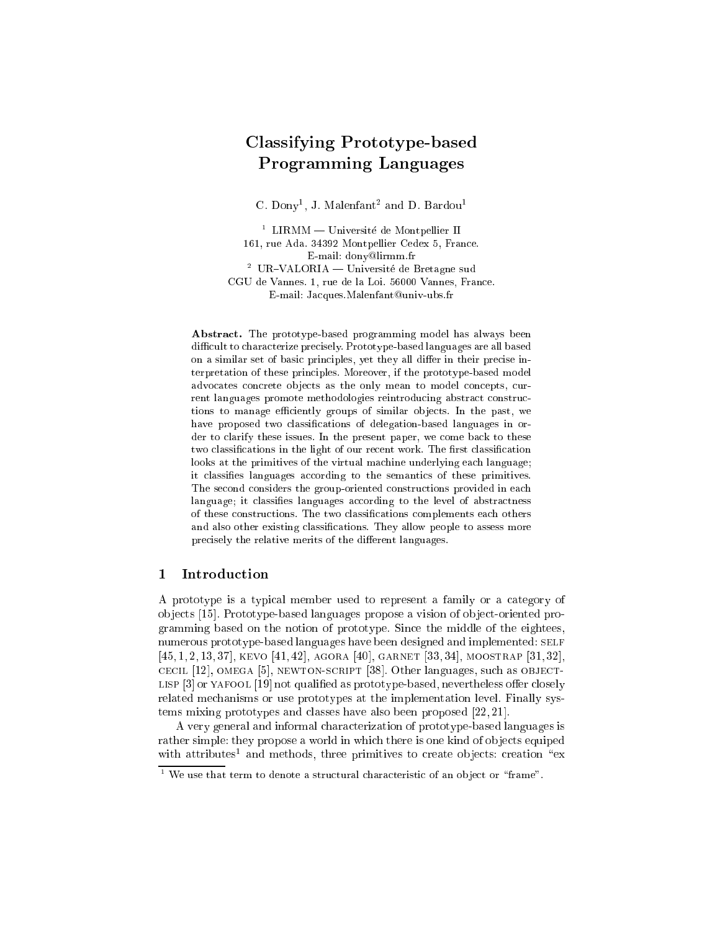# Classifying Prototype-based Programming Languages

C. Dony, J. Malemant and D. Bardou-

 $\lceil$  LIRMM  $\equiv$  Universite de Montpellier II 161, rue Ada. 34392 Montpellier Cedex 5, France. E-mail: dony@lirmm.fr <sup>-</sup> UR-VALORIA — Universite de Bretagne sud CGU de Vannes. 1, rue de la Loi. 56000 Vannes, France. E-mail: Jacques.Malenfant@univ-ubs.fr

Abstract. The prototype-based programming model has always been difficult to characterize precisely. Prototype-based languages are all based on a similar set of basic principles, yet they all differ in their precise interpretation of these principles. Moreover, if the prototype-based model advocates concrete objects as the only mean to model concepts, current languages promote methodologies reintroducing abstract constructions to manage efficiently groups of similar objects. In the past, we have proposed two classifications of delegation-based languages in order to clarify these issues. In the present paper, we come back to these two classifications in the light of our recent work. The first classification looks at the primitives of the virtual machine underlying each language; it classies languages according to the semantics of these primitives. The second considers the group-oriented constructions provided in each language; it classifies languages according to the level of abstractness of these constructions. The two classications complements each others and also other existing classifications. They allow people to assess more precisely the relative merits of the different languages.

#### Introduction  $\mathbf{1}$

A prototype is a typical member used to represent a family or a category of ob jects [15]. Prototype-based languages propose a vision of ob ject-oriented programming based on the notion of prototype. Since the middle of the eightees, numerous prototype-based languages have been designed and implemented: SELF [45, 1, 2, 13, 37], KEVO [41, 42], AGORA [40], GARNET [33, 34], MOOSTRAP [31, 32], cecil [12], omega [5], newton-script [38]. Other languages, such as objectlisp [3] or yafool [19] not qualied as prototype-based, nevertheless oer closely related mechanisms or use prototypes at the implementation level. Finally systems mixing prototypes and classes have also been proposed [22, 21].

A very general and informal characterization of prototype-based languages is rather simple: they propose a world in which there is one kind of objects equiped with attributes and methods, three primitives to create objects: creation  $\;$  ex $\;$ 

 $^\circ$  we use that term to denote a structural characteristic of an object or "frame".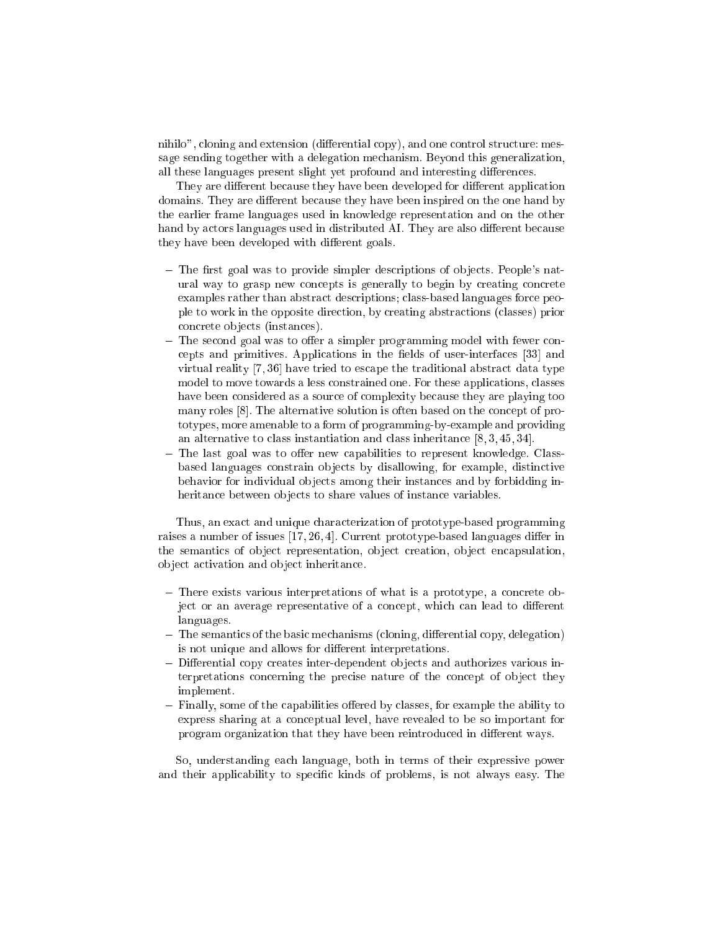nihilo", cloning and extension (differential copy), and one control structure: message sending together with a delegation mechanism. Beyond this generalization, all these languages present slight yet profound and interesting differences.

They are different because they have been developed for different application domains. They are different because they have been inspired on the one hand by the earlier frame languages used in knowledge representation and on the other hand by actors languages used in distributed AI. They are also different because they have been developed with different goals.

- $-$  The first goal was to provide simpler descriptions of objects. People's natural way to grasp new concepts is generally to begin by creating concrete examples rather than abstract descriptions; class-based languages force people to work in the opposite direction, by creating abstractions (classes) prior concrete ob jects (instances).
- ${\rm -}$  The second goal was to offer a simpler programming model with fewer concepts and primitives. Applications in the fields of user-interfaces [33] and virtual reality [7, 36] have tried to escape the traditional abstract data type model to move towards a less constrained one. For these applications, classes have been considered as a source of complexity because they are playing too many roles [8]. The alternative solution is often based on the concept of prototypes, more amenable to a form of programming-by-example and providing an alternative to class instantiation and class inheritance [8, 3, 45, 34].
- ${\rm -}$  The last goal was to offer new capabilities to represent knowledge. Classbased languages constrain ob jects by disallowing, for example, distinctive behavior for individual ob jects among their instances and by forbidding inheritance between objects to share values of instance variables.

Thus, an exact and unique characterization of prototype-based programming raises a number of issues  $[17, 26, 4]$ . Current prototype-based languages differ in the semantics of object representation, object creation, object encapsulation, ob ject activation and ob ject inheritance.

- { There exists various interpretations of what is a prototype, a concrete object or an average representative of a concept, which can lead to different languages.
- ${\bf -}$  The semantics of the basic mechanisms (cloning, differential copy, delegation) is not unique and allows for different interpretations.
- ${\bf -}$  Differential copy creates inter-dependent objects and authorizes various interpretations concerning the precise nature of the concept of object they implement.
- ${\bf -}$  Finally, some of the capabilities offered by classes, for example the ability to express sharing at a conceptual level, have revealed to be so important for program organization that they have been reintroduced in different ways.

So, understanding each language, both in terms of their expressive power and their applicability to specic kinds of problems, is not always easy. The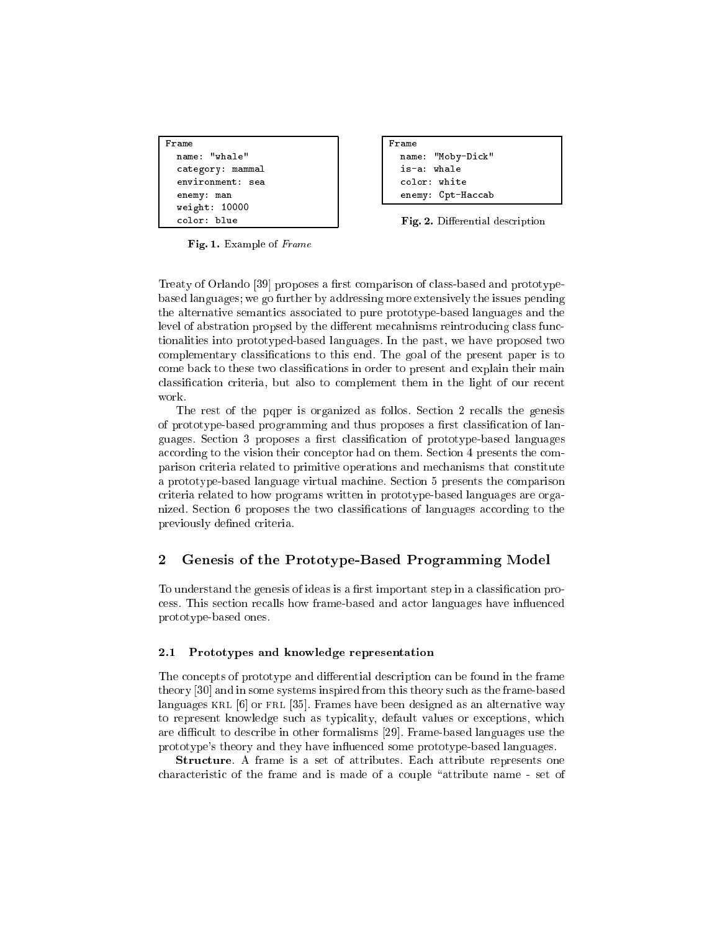```
Framecategory: mammal
  enemy: man
  m = m
```
Framename: "Moby-Dick" is-a: whale enemy: Cpt-Haccab

Fig. 2. Differential description

Fig. 1. Example of Frame

Treaty of Orlando [39] proposes a first comparison of class-based and prototypebased languages; we go further by addressing more extensively the issues pending the alternative semantics associated to pure prototype-based languages and the level of abstration propsed by the different mecahnisms reintroducing class functionalities into prototyped-based languages. In the past, we have proposed two complementary classications to this end. The goal of the present paper is to come back to these two classications in order to present and explain their main classication criteria, but also to complement them in the light of our recent

The rest of the pqper is organized as follos. Section 2 recalls the genesis of prototype-based programming and thus proposes a first classification of languages. Section 3 proposes a first classification of prototype-based languages according to the vision their conceptor had on them. Section 4 presents the comparison criteria related to primitive operations and mechanisms that constitute a prototype-based language virtual machine. Section 5 presents the comparison criteria related to how programs written in prototype-based languages are organized. Section 6 proposes the two classications of languages according to the previously defined criteria.

## Genesis of the Prototype-Based Programming Model

To understand the genesis of ideas is a first important step in a classification process. This section recalls how frame-based and actor languages have in
uenced prototype-based ones.

### 2.1 Prototypes and knowledge representation

The concepts of prototype and differential description can be found in the frame theory [30] and in some systems inspired from this theory such as the frame-based languages KRL [6] or FRL [35]. Frames have been designed as an alternative way to represent knowledge such as typicality, default values or exceptions, which are difficult to describe in other formalisms [29]. Frame-based languages use the prototype's theory and they have in
uenced some prototype-based languages.

Structure. A frame is a set of attributes. Each attribute represents one characteristic of the frame and is made of a couple "attribute name - set of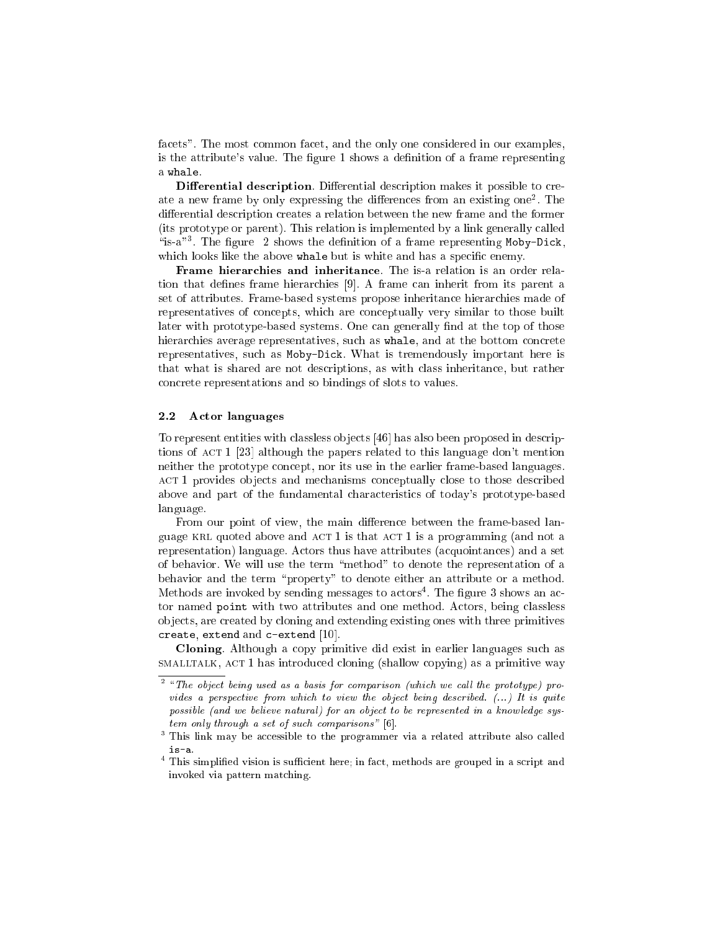facets". The most common facet, and the only one considered in our examples, is the attribute's value. The figure 1 shows a definition of a frame representing a whale.

Differential description. Differential description makes it possible to create a new frame by only expressing the differences from an existing one . The differential description creates a relation between the new frame and the former (its prototype or parent). This relation is implemented by a link generally called  $\,$  is-a  $\,$  . The figure  $\,$  2 shows the definition of a frame representing Moby-Dick, which looks like the above whale but is white and has a specific enemy.

Frame hierarchies and inheritance. The is-a relation is an order relation that defines frame hierarchies [9]. A frame can inherit from its parent a set of attributes. Frame-based systems propose inheritance hierarchies made of representatives of concepts, which are conceptually very similar to those built later with prototype-based systems. One can generally find at the top of those hierarchies average representatives, such as whale, and at the bottom concrete representatives, such as Moby-Dick. What is tremendously important here is that what is shared are not descriptions, as with class inheritance, but rather concrete representations and so bindings of slots to values.

### 2.2 Actor languages

To represent entities with classless ob jects [46] has also been proposed in descriptions of ACT 1 [23] although the papers related to this language don't mention neither the prototype concept, nor its use in the earlier frame-based languages. act 1 provides ob jects and mechanisms conceptually close to those described above and part of the fundamental characteristics of today's prototype-based language.

From our point of view, the main difference between the frame-based language KRL quoted above and  $ACT 1$  is that  $ACT 1$  is a programming (and not a representation) language. Actors thus have attributes (acquointances) and a set of behavior. We will use the term \method" to denote the representation of a behavior and the term "property" to denote either an attribute or a method. Methods are invoked by sending messages to actors<sup>4</sup> . The gure 3 shows an actor named point with two attributes and one method. Actors, being classless ob jects, are created by cloning and extending existing ones with three primitives create, extend and c-extend [10].

Cloning. Although a copy primitive did exist in earlier languages such as smalltalk, act 1 has introduced cloning (shallow copying) as a primitive way

 $^\circ$  "The object being used as a basis for comparison (which we call the prototype) provides a perspective from which to view the object being described. (...) It is quite possible (and we believe natural) for an object to be represented in a knowledge system only through a set of such comparisons" [6].

<sup>3</sup> This link may be accessible to the programmer via a related attribute also called is-a.

 $\top$  This simplified vision is sufficient here; in fact, methods are grouped in a script and invoked via pattern matching.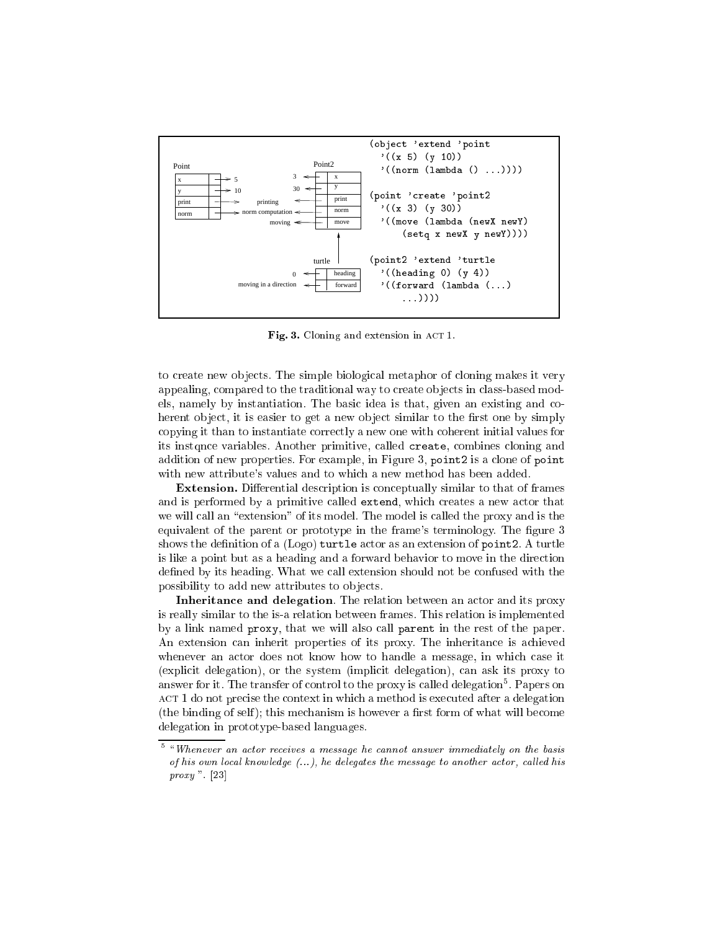

Fig. 3. Cloning and extension in ACT 1.

to create new ob jects. The simple biological metaphor of cloning makes it very appealing, compared to the traditional way to create ob jects in class-based models, namely by instantiation. The basic idea is that, given an existing and coherent object, it is easier to get a new object similar to the first one by simply copying it than to instantiate correctly a new one with coherent initial values for its instqnce variables. Another primitive, called create, combines cloning and addition of new properties. For example, in Figure 3, point2 is a clone of point with new attribute's values and to which a new method has been added.

Extension. Differential description is conceptually similar to that of frames and is performed by a primitive called extend, which creates a new actor that we will call an "extension" of its model. The model is called the proxy and is the equivalent of the parent or prototype in the frame's terminology. The figure 3 shows the definition of a  $(Logo)$  turtle actor as an extension of point2. A turtle is like a point but as a heading and a forward behavior to move in the direction defined by its heading. What we call extension should not be confused with the possibility to add new attributes to ob jects.

Inheritance and delegation. The relation between an actor and its proxy is really similar to the is-a relation between frames. This relation is implemented by a link named proxy, that we will also call parent in the rest of the paper. An extension can inherit properties of its proxy. The inheritance is achieved whenever an actor does not know how to handle a message, in which case it (explicit delegation), or the system (implicit delegation), can ask its proxy to answer for it. The transfer of control to the proxy is called delegation5 . Papers on act 1 do not precise the context in which a method is executed at method is executed at  $\alpha$  $($ the binding of self $)$ ; this mechanism is however a first form of what will become delegation in prototype-based languages.

 $^\circ$  "Whenever an actor receives a message he cannot answer immediately on the basis of his own local knowledge  $(...)$ , he delegates the message to another actor, called his proxy ". [23]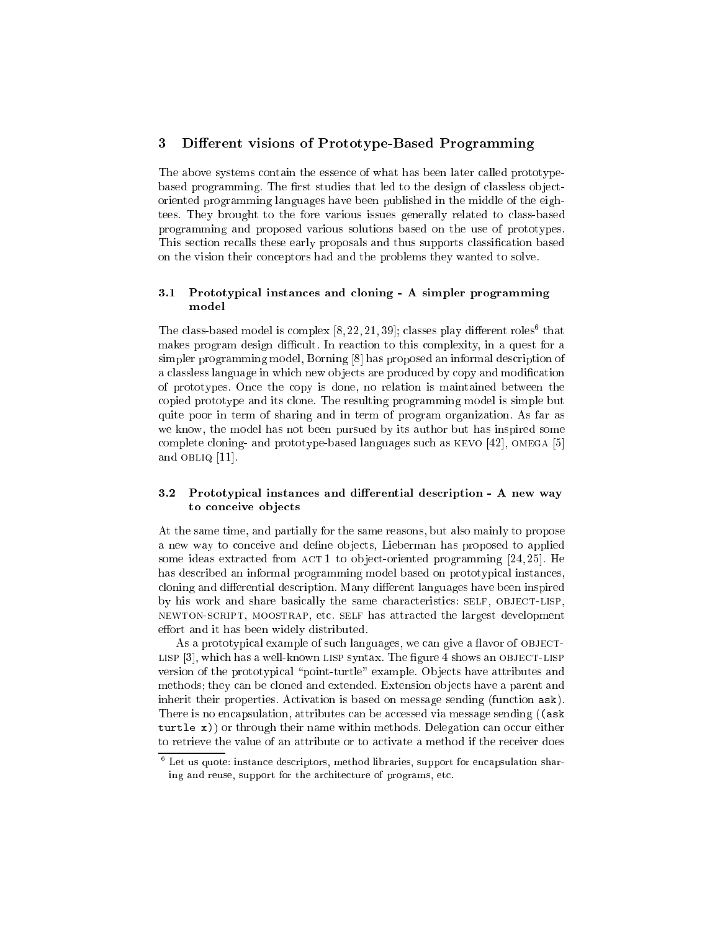#### 3Different visions of Prototype-Based Programming

The above systems contain the essence of what has been later called prototypebased programming. The first studies that led to the design of classless objectoriented programming languages have been published in the middle of the eightees. They brought to the fore various issues generally related to class-based programming and proposed various solutions based on the use of prototypes. This section recalls these early proposals and thus supports classification based on the vision their conceptors had and the problems they wanted to solve.

### 3.1 Prototypical instances and cloning - A simpler programming model

I he class-based model is complex  $[8, 22, 21, 39]$ ; classes play different roles that makes program design difficult. In reaction to this complexity, in a quest for a simpler programming model, Borning [8] has proposed an informal description of a classless language in which new objects are produced by copy and modification of prototypes. Once the copy is done, no relation is maintained between the copied prototype and its clone. The resulting programming model is simple but quite poor in term of sharing and in term of program organization. As far as we know, the model has not been pursued by its author but has inspired some complete cloning- and prototype-based languages such as kevo [42], omega [5] and obliq [11].

#### $3.2$ Prototypical instances and differential description - A new way to conceive objects

At the same time, and partially for the same reasons, but also mainly to propose a new way to conceive and define objects, Lieberman has proposed to applied some ideas extracted from  $ACT1$  to object-oriented programming [24, 25]. He has described an informal programming model based on prototypical instances, cloning and differential description. Many different languages have been inspired by his work and share basically the same characteristics: SELF, OBJECT-LISP, newton-script, moostrap, etc. self has attracted the largest development effort and it has been widely distributed.

As a prototypical example of such languages, we can give a flavor of OBJECTlisp [3], which has a well-known lisp syntax. The gure 4 shows an object-lisp version of the prototypical "point-turtle" example. Objects have attributes and methods; they can be cloned and extended. Extension ob jects have a parent and inherit their properties. Activation is based on message sending (function ask). There is no encapsulation, attributes can be accessed via message sending ((ask  $t = t - t$ , or the sequence is name within methods. Delegation can occur either  $\alpha$ to retrieve the value of an attribute or to activate a method if the receiver does

<sup>6</sup> Let us quote: instance descriptors, method libraries, support for encapsulation sharing and reuse, support for the architecture of programs, etc.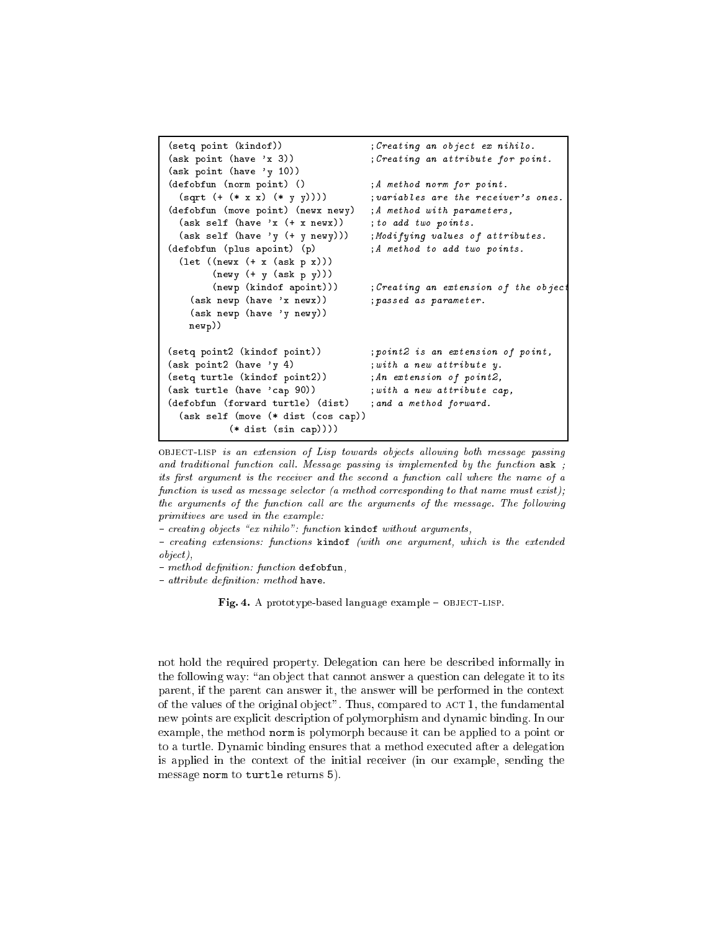```
(setq point (kindof))
                                                ; Creating an object ex nihilo.
(ask point (have 'x 3))
                                                ; Creating an attribute for point.
(ask point (have 'y 10))
(defobfun (norm point) ()
                                                ;A method norm for point.
  (sqrt (+ (* x x) (* y y)))); variables are the receiver's ones.
(defobfun (move point) (newx newy)
                                                ;A method with parameters,
  (\text{ask self } ( \text{have } 'x ( + x new x)) ; to add two points.
  (ask self (have 'y (+ y newy)))
                                                ; Modifying values of attributes.
(defobfun (plus apoint) (p)
                                                ; A method to add two points.
  (as a contract of \mathcal{L} as \mathcal{L}) as \mathcal{L}(newy (+ y (ask p y)))
          (newp (kindof apoint)))
                                                ; Creating an extension of the objec
     (ask newp (have 'x newx))
                                                ; passed as parameter.
     (ask newp (have 'y newy))
    newp))(setq point2 (kindof point))
                                                ; point2 is an extension of point,
(ask point2 (have 'y 4)
                                                 ;with a new attribute y.
(setq turtle (kindof point2))
                                                ; An extension of point2,
(ask turtle (have 'cap 90))
                                                ; with a new attribute cap,
(defobfun (forward turtle) (dist) ;and a method forward.
  \sqrt{2} self (moves \sqrt{2} distribution \sqrt{2} and \sqrt{2} cosets \sqrt{2}\mathcal{N} distribution is a distribution of the capacity of the cap of the cap of the cap of the cap of the cap of the cap of the cap of the cap of the cap of the cap of the cap of the cap of the cap of the cap of the cap
```
OBJECT-LISP is an extension of Lisp towards objects allowing both message passing and traditional function call. Message passing is implemented by the function  $ask$ ; its first argument is the receiver and the second a function call where the name of  $a$ function is used as message selector (a method corresponding to that name must exist); the arguments of the function call are the arguments of the message. The following primitives are used in the example:

 $= creating \ objects \ \textrm{``ex \ }nihilo": function \ \texttt{kindof} \ \ without \ arguments,$ 

{ creating extensions: functions kindof (with one argument, which is the extended object),

 $-$  method definition: function defobfun,

 $-$  attribute definition: method have.

Fig. 4. A prototype-based language example - OBJECT-LISP.

not hold the required property. Delegation can here be described informally in the following way: "an object that cannot answer a question can delegate it to its parent, if the parent can answer it, the answer will be performed in the context of the values of the original object". Thus, compared to  $ACT 1$ , the fundamental new points are explicit description of polymorphism and dynamic binding. In our example, the method norm is polymorph because it can be applied to a point or to a turtle. Dynamic binding ensures that a method executed after a delegation is applied in the context of the initial receiver (in our example, sending the message norm to turtle returns 5).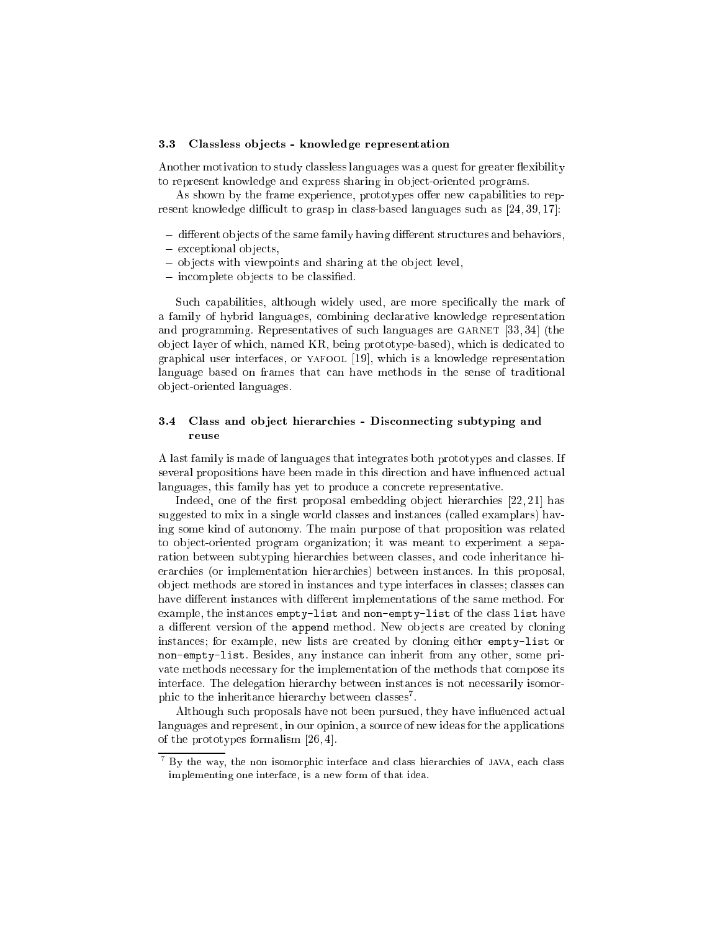#### 3.3 Classless ob jects - knowledge representation

Another motivation to study classless languages was a quest for greater flexibility to represent knowledge and express sharing in object-oriented programs.

As shown by the frame experience, prototypes offer new capabilities to represent knowledge difficult to grasp in class-based languages such as  $[24, 39, 17]$ :

- ${\bf -}$  different objects of the same family having different structures and behaviors,
- $-$  exceptional objects,
- objects with viewpoints and sharing at the object level,
- $-$  incomplete objects to be classified.

Such capabilities, although widely used, are more specifically the mark of a family of hybrid languages, combining declarative knowledge representation and programming. Representatives of such languages are GARNET [33, 34] (the ob ject layer of which, named KR, being prototype-based), which is dedicated to graphical user interfaces, or yafool [19], which is a knowledge representation language based on frames that can have methods in the sense of traditional ob ject-oriented languages.

### 3.4 Class and object hierarchies - Disconnecting subtyping and reuse

A last family is made of languages that integrates both prototypes and classes. If several propositions have been made in this direction and have influenced actual languages, this family has yet to produce a concrete representative.

Indeed, one of the first proposal embedding object hierarchies  $[22, 21]$  has suggested to mix in a single world classes and instances (called examplars) having some kind of autonomy. The main purpose of that proposition was related to ob ject-oriented program organization; it was meant to experiment a separation between subtyping hierarchies between classes, and code inheritance hierarchies (or implementation hierarchies) between instances. In this proposal, ob ject methods are stored in instances and type interfaces in classes; classes can have different instances with different implementations of the same method. For example, the instances empty-list and non-empty-list of the class list have a different version of the append method. New objects are created by cloning instances; for example, new lists are created by cloning either empty-list or non-empty-list. Besides, any instance can inherit from any other, some private methods necessary for the implementation of the methods that compose its interface. The delegation hierarchy between instances is not necessarily isomorphic to the inheritance merarchy between classes.

Although such proposals have not been pursued, they have influenced actual languages and represent, in our opinion, a source of new ideas for the applications of the prototypes formalism [26, 4].

<sup>7</sup> By the way, the non isomorphic interface and class hierarchies of java, each class implementing one interface, is a new form of that idea.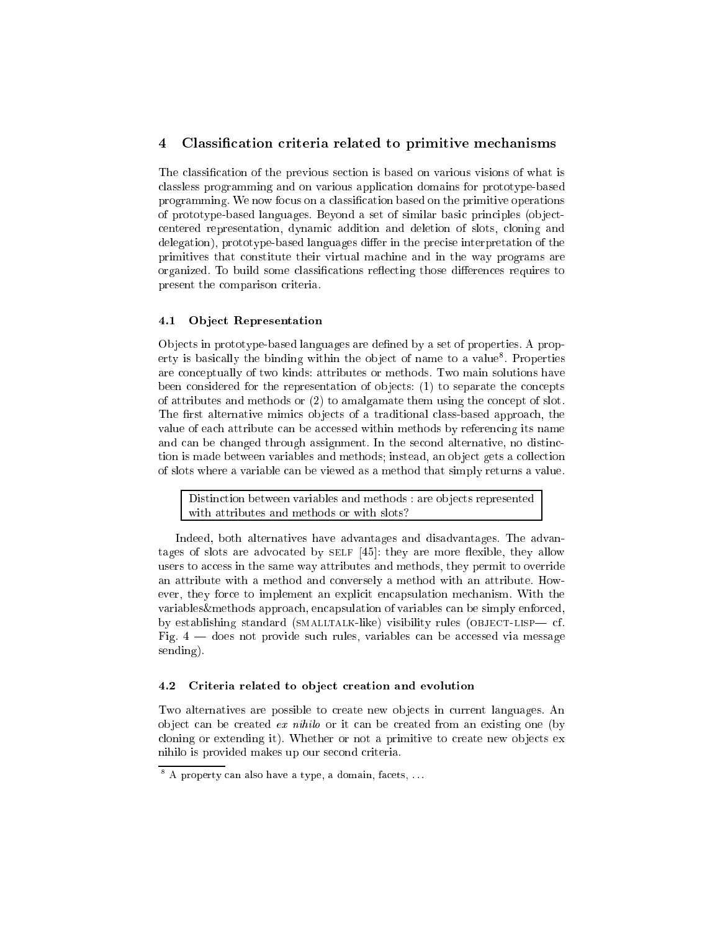#### 4Classication criteria related to primitive mechanisms

The classication of the previous section is based on various visions of what is classless programming and on various application domains for prototype-based programming. We now focus on a classication based on the primitive operations of prototype-based languages. Beyond a set of similar basic principles (ob jectcentered representation, dynamic addition and deletion of slots, cloning and delegation), prototype-based languages differ in the precise interpretation of the primitives that constitute their virtual machine and in the way programs are organized. To build some classifications reflecting those differences requires to present the comparison criteria.

#### Object Representation  $4.1$

Objects in prototype-based languages are defined by a set of properties. A property is basically the binding within the object of name to a value. Properties are conceptually of two kinds: attributes or methods. Two main solutions have been considered for the representation of objects: (1) to separate the concepts of attributes and methods or (2) to amalgamate them using the concept of slot. The first alternative mimics objects of a traditional class-based approach, the value of each attribute can be accessed within methods by referencing its name and can be changed through assignment. In the second alternative, no distinction is made between variables and methods; instead, an ob ject gets a collection of slots where a variable can be viewed as a method that simply returns a value.

Distinction between variables and methods : are objects represented with attributes and methods or with slots?

Indeed, both alternatives have advantages and disadvantages. The advantages of slots are advocated by  $SELF$  [45]: they are more flexible, they allow users to access in the same way attributes and methods, they permit to override an attribute with a method and conversely a method with an attribute. However, they force to implement an explicit encapsulation mechanism. With the variables&methods approach, encapsulation of variables can be simply enforced, by establishing standard (SMALLTALK-like) visibility rules (OBJECT-LISP— cf. Fig.  $4$  — does not provide such rules, variables can be accessed via message sending).

#### 4.2 Criteria related to object creation and evolution

Two alternatives are possible to create new objects in current languages. An object can be created *ex nihilo* or it can be created from an existing one (by cloning or extending it). Whether or not a primitive to create new ob jects ex nihilo is provided makes up our second criteria.

<sup>8</sup> A property can also have a type, a domain, facets, . . .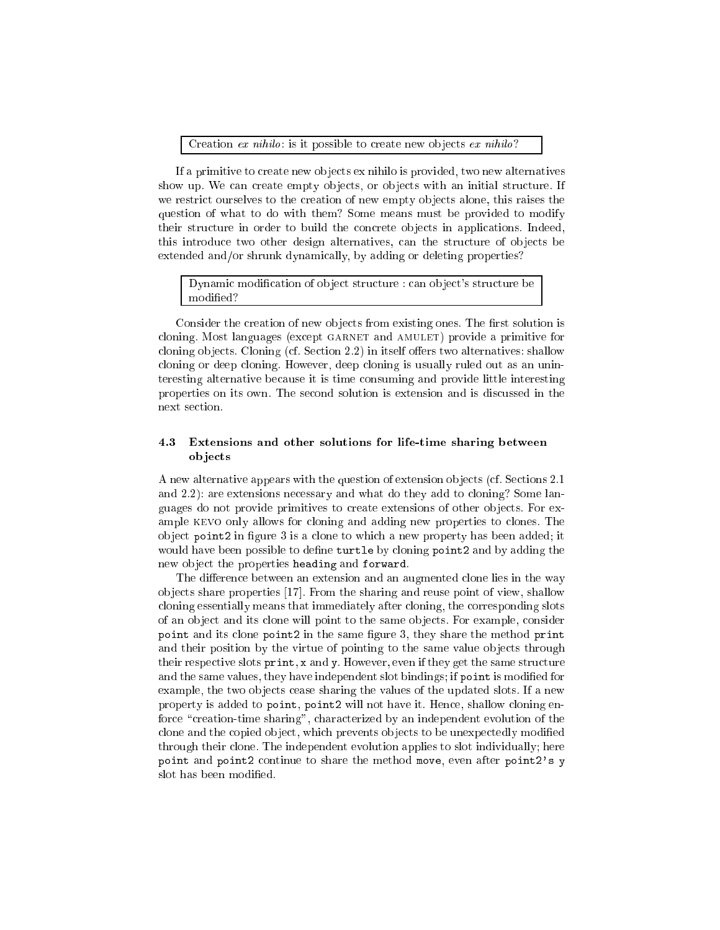Creation  $ex~nihilo:$  is it possible to create new objects  $ex~nihilo?$ 

If a primitive to create new ob jects ex nihilo is provided, two new alternatives show up. We can create empty objects, or objects with an initial structure. If we restrict ourselves to the creation of new empty objects alone, this raises the question of what to do with them? Some means must be provided to modify their structure in order to build the concrete ob jects in applications. Indeed, this introduce two other design alternatives, can the structure of ob jects be extended and/or shrunk dynamically, by adding or deleting properties?

### Dynamic modification of object structure : can object's structure be modied?

Consider the creation of new objects from existing ones. The first solution is cloning. Most languages (except garnet and amulet) provide a primitive for cloning objects. Cloning (cf. Section 2.2) in itself offers two alternatives: shallow cloning or deep cloning. However, deep cloning is usually ruled out as an uninteresting alternative because it is time consuming and provide little interesting properties on its own. The second solution is extension and is discussed in the next section.

### 4.3 Extensions and other solutions for life-time sharing between ob jects

A new alternative appears with the question of extension ob jects (cf. Sections 2.1 and 2.2): are extensions necessary and what do they add to cloning? Some languages do not provide primitives to create extensions of other ob jects. For example kevo only allows for cloning and adding new properties to clones. The object point2 in figure 3 is a clone to which a new property has been added; it would have been possible to define turtle by cloning point2 and by adding the new object the properties heading and forward.

The difference between an extension and an augmented clone lies in the way ob jects share properties [17]. From the sharing and reuse point of view, shallow cloning essentially means that immediately after cloning, the corresponding slots of an ob ject and its clone will point to the same ob jects. For example, consider point and its clone point2 in the same gure 3, they share the method print and their position by the virtue of pointing to the same value ob jects through their respective slots print, <sup>x</sup> and y. However, even if they get the same structure and the same values, they have independent slot bindings; if point is modified for example, the two ob jects cease sharing the values of the updated slots. If a new property is added to point, point2 will not have it. Hence, shallow cloning enforce "creation-time sharing", characterized by an independent evolution of the clone and the copied object, which prevents objects to be unexpectedly modified through their clone. The independent evolution applies to slot individually; here point and point2 continue to share the method move, even after point2's <sup>y</sup> slot has been modified.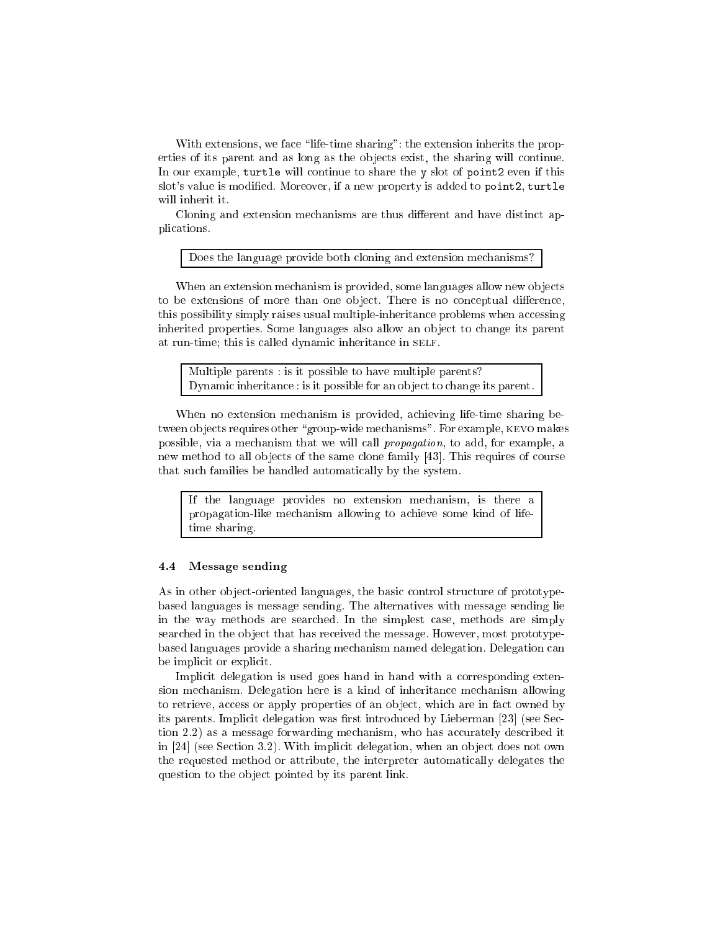With extensions, we face "life-time sharing": the extension inherits the properties of its parent and as long as the ob jects exist, the sharing will continue. In our example, turtle will continue to share the <sup>y</sup> slot of point2 even if this slot's value is modied. Moreover, if a new property is added to point2, turtle will inherit it.

Cloning and extension mechanisms are thus different and have distinct applications.

Does the language provide both cloning and extension mechanisms?

When an extension mechanism is provided, some languages allow new objects to be extensions of more than one object. There is no conceptual difference, this possibility simply raises usual multiple-inheritance problems when accessing inherited properties. Some languages also allow an ob ject to change its parent at run-time; this is called dynamic inheritance in SELF.

Multiple parents : is it possible to have multiple parents? Dynamic inheritance : is it possible for an object to change its parent.

When no extension mechanism is provided, achieving life-time sharing between objects requires other "group-wide mechanisms". For example, KEVO makes possible, via a mechanism that we will call propagation, to add, for example, a new method to all objects of the same clone family [43]. This requires of course that such families be handled automatically by the system.

If the language provides no extension mechanism, is there a propagation-like mechanism allowing to achieve some kind of lifetime sharing.

#### 4.4 Message sending

As in other object-oriented languages, the basic control structure of prototypebased languages is message sending. The alternatives with message sending lie in the way methods are searched. In the simplest case, methods are simply searched in the ob ject that has received the message. However, most prototypebased languages provide a sharing mechanism named delegation. Delegation can be implicit or explicit.

Implicit delegation is used goes hand in hand with a corresponding extension mechanism. Delegation here is a kind of inheritance mechanism allowing to retrieve, access or apply properties of an object, which are in fact owned by its parents. Implicit delegation was first introduced by Lieberman [23] (see Section 2.2) as a message forwarding mechanism, who has accurately described it in  $[24]$  (see Section 3.2). With implicit delegation, when an object does not own the requested method or attribute, the interpreter automatically delegates the question to the object pointed by its parent link.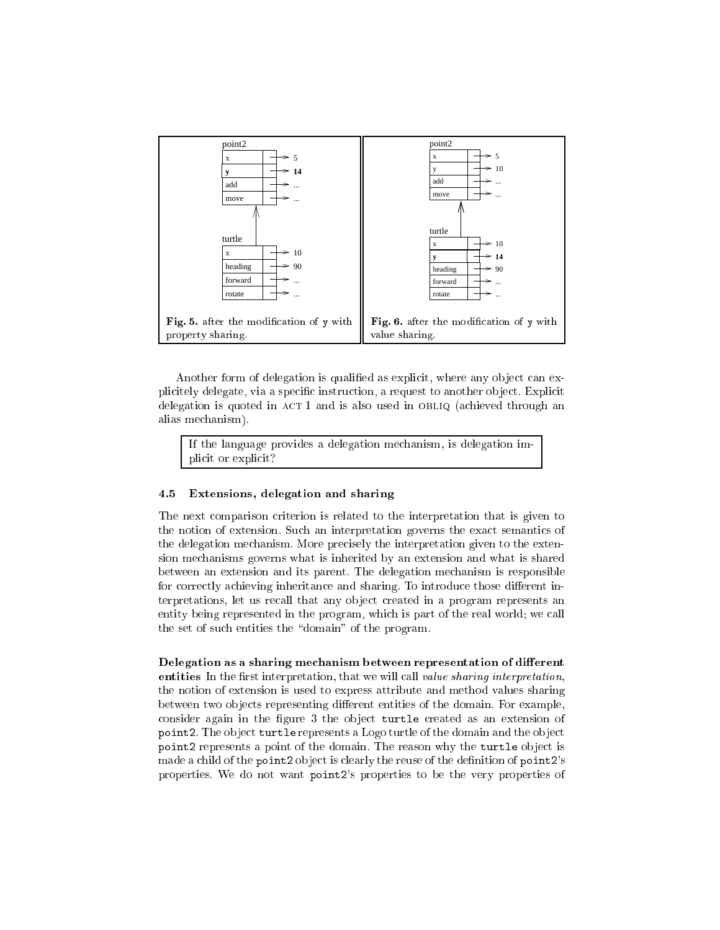

Another form of delegation is qualified as explicit, where any object can explicitely delegate, via a specific instruction, a request to another object. Explicit delegation is quoted in ACT 1 and is also used in OBLIQ (achieved through an alias mechanism).

If the language provides a delegation mechanism, is delegation implicit or explicit?

### 4.5 Extensions, delegation and sharing

The next comparison criterion is related to the interpretation that is given to the notion of extension. Such an interpretation governs the exact semantics of the delegation mechanism. More precisely the interpretation given to the extension mechanisms governs what is inherited by an extension and what is shared between an extension and its parent. The delegation mechanism is responsible for correctly achieving inheritance and sharing. To introduce those different interpretations, let us recall that any object created in a program represents an entity being represented in the program, which is part of the real world; we call the set of such entities the "domain" of the program.

Delegation as a sharing mechanism between representation of different entities In the first interpretation, that we will call value sharing interpretation, the notion of extension is used to express attribute and method values sharing between two objects representing different entities of the domain. For example, consider again in the figure 3 the object turtle created as an extension of point2. The object turtle represents a Logo turtle of the domain and the object point2 represents a point of the domain. The reason why the turtle ob ject is made a child of the point2 object is clearly the reuse of the definition of point2's properties. We do not want point2's properties to be the very properties of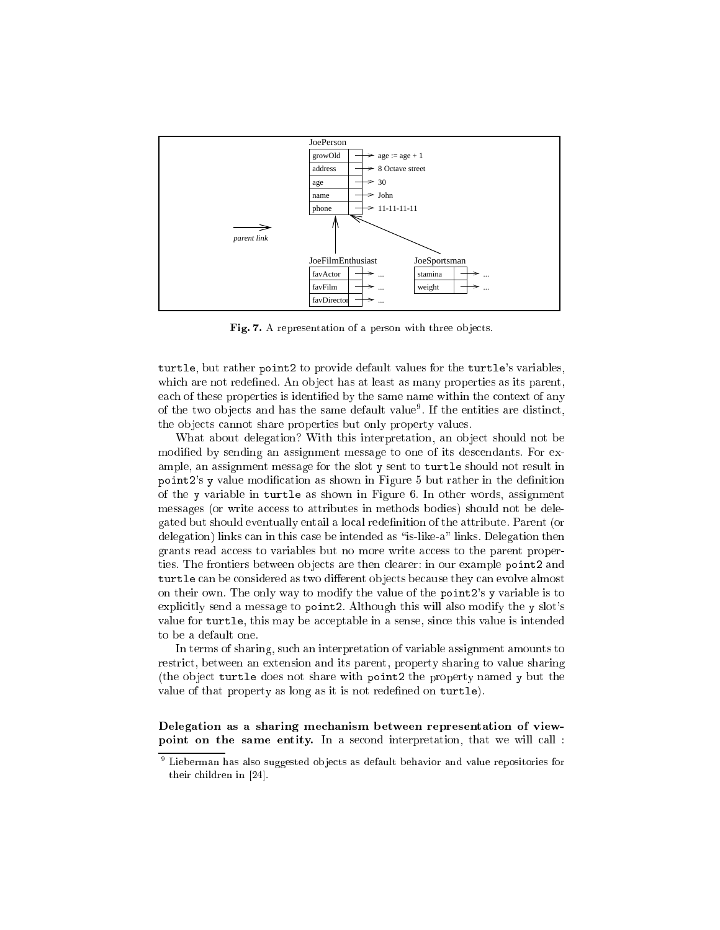

Fig. 7. A representation of a person with three objects.

turtle, but rather point2 to provide default values for the turtle's variables, which are not redefined. An object has at least as many properties as its parent, each of these properties is identified by the same name within the context of any of the two objects and has the same default value". If the entities are distinct, the objects cannot share properties but only property values.

What about delegation? With this interpretation, an object should not be modied by sending an assignment message to one of its descendants. For example, an assignment message for the slot <sup>y</sup> sent to turtle should not result in point2's y value modification as shown in Figure 5 but rather in the definition of the <sup>y</sup> variable in turtle as shown in Figure 6. In other words, assignment messages (or write access to attributes in methods bodies) should not be delegated but should eventually entail a local redenition of the attribute. Parent (or delegation) links can in this case be intended as "is-like-a" links. Delegation then grants read access to variables but no more write access to the parent properties. The frontiers between ob jects are then clearer: in our example point2 and turtle can be considered as two dierent ob jects because they can evolve almost on their own. The only way to modify the value of the point2's <sup>y</sup> variable is to explicitly send a message to point2. Although this will also modify the <sup>y</sup> slot's value for turtle, this may be acceptable in a sense, since this value is intended to be a default one.

In terms of sharing, such an interpretation of variable assignment amounts to restrict, between an extension and its parent, property sharing to value sharing (the ob ject turtle does not share with point2 the property named <sup>y</sup> but the value of that property as long as it is not redefined on turtle).

Delegation as a sharing mechanism between representation of viewpoint on the same entity. In a second interpretation, that we will call :

<sup>9</sup> Lieberman has also suggested ob jects as default behavior and value repositories for their children in [24].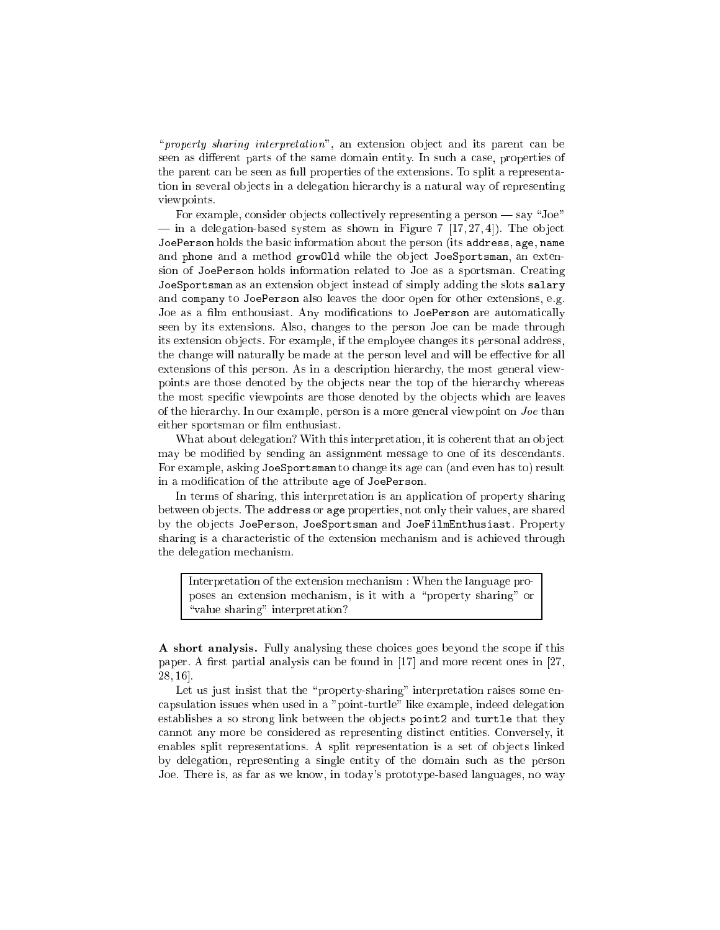"*property sharing interpretation*", an extension object and its parent can be seen as different parts of the same domain entity. In such a case, properties of the parent can be seen as full properties of the extensions. To split a representation in several objects in a delegation hierarchy is a natural way of representing viewpoints.

For example, consider objects collectively representing a person  $-\text{say}$  "Joe"  $\equiv$  in a delegation-based system as shown in Figure 7 [17, 27, 4]). The object JoePerson holds the basic information about the person (its address, age, name and phone and a method grow01d while the object JoeSportsman, an extension of JoePerson holds information related to Joe as a sportsman. Creating JoeSportsman as an extension ob ject instead of simply adding the slots salary and company to JoePerson also leaves the door open for other extensions, e.g. Joe as a film enthousiast. Any modifications to JoePerson are automatically seen by its extensions. Also, changes to the person Joe can be made through its extension ob jects. For example, if the employee changes its personal address, the change will naturally be made at the person level and will be effective for all extensions of this person. As in a description hierarchy, the most general viewpoints are those denoted by the ob jects near the top of the hierarchy whereas the most specific viewpoints are those denoted by the objects which are leaves of the hierarchy. In our example, person is a more general viewpoint on  $Joe$  than either sportsman or film enthusiast.

What about delegation? With this interpretation, it is coherent that an ob ject may be modified by sending an assignment message to one of its descendants. For example, asking JoeSportsman to change its age can (and even has to) result in a modication of the attribute age of JoePerson.

In terms of sharing, this interpretation is an application of property sharing between ob jects. The address or age properties, not only their values, are shared by the objects JoePerson, JoeSportsman and JoeFilmEnthusiast. Property sharing is a characteristic of the extension mechanism and is achieved through the delegation mechanism.

Interpretation of the extension mechanism : When the language proposes an extension mechanism, is it with a \property sharing" or "value sharing" interpretation?

A short analysis. Fully analysing these choices goes beyond the scope if this paper. A first partial analysis can be found in  $[17]$  and more recent ones in  $[27]$ , 28, 16].

Let us just insist that the "property-sharing" interpretation raises some encapsulation issues when used in a "point-turtle" like example, indeed delegation establishes a so strong link between the objects point2 and turtle that they cannot any more be considered as representing distinct entities. Conversely, it enables split representations. A split representation is a set of objects linked by delegation, representing a single entity of the domain such as the person Joe. There is, as far as we know, in today's prototype-based languages, no way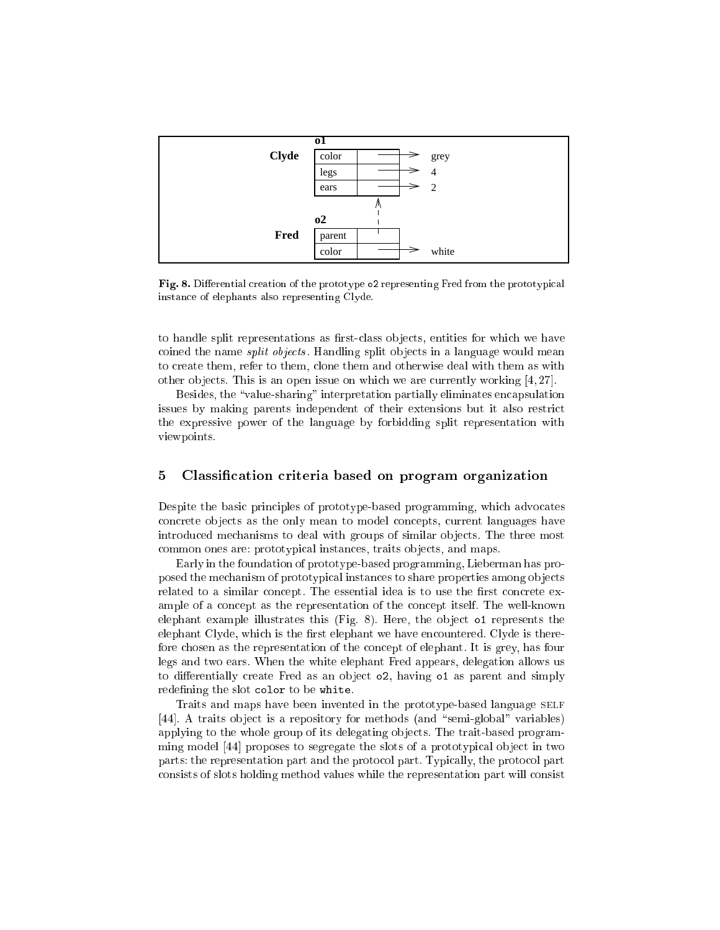

Fig. 8. Differential creation of the prototype o2 representing Fred from the prototypical instance of elephants also representing Clyde.

to handle split representations as first-class objects, entities for which we have coined the name *split objects*. Handling split objects in a language would mean to create them, refer to them, clone them and otherwise deal with them as with other ob jects. This is an open issue on which we are currently working [4, 27].

Besides, the "value-sharing" interpretation partially eliminates encapsulation issues by making parents independent of their extensions but it also restrict the expressive power of the language by forbidding split representation with viewpoints.

#### $\overline{5}$ Classication criteria based on program organization

Despite the basic principles of prototype-based programming, which advocates concrete ob jects as the only mean to model concepts, current languages have introduced mechanisms to deal with groups of similar ob jects. The three most common ones are: prototypical instances, traits objects, and maps.

Early in the foundation of prototype-based programming, Lieberman has proposed the mechanism of prototypical instances to share properties among ob jects related to a similar concept. The essential idea is to use the first concrete example of a concept as the representation of the concept itself. The well-known elephant example illustrates this (Fig. 8). Here, the object of represents the elephant Clyde, which is the first elephant we have encountered. Clyde is therefore chosen as the representation of the concept of elephant. It is grey, has four legs and two ears. When the white elephant Fred appears, delegation allows us to differentially create Fred as an object  $\circ$ 2, having  $\circ$ 1 as parent and simply redefining the slot color to be white.

Traits and maps have been invented in the prototype-based language SELF [44]. A traits object is a repository for methods (and "semi-global" variables) applying to the whole group of its delegating objects. The trait-based programming model [44] proposes to segregate the slots of a prototypical object in two parts: the representation part and the protocol part. Typically, the protocol part consists of slots holding method values while the representation part will consist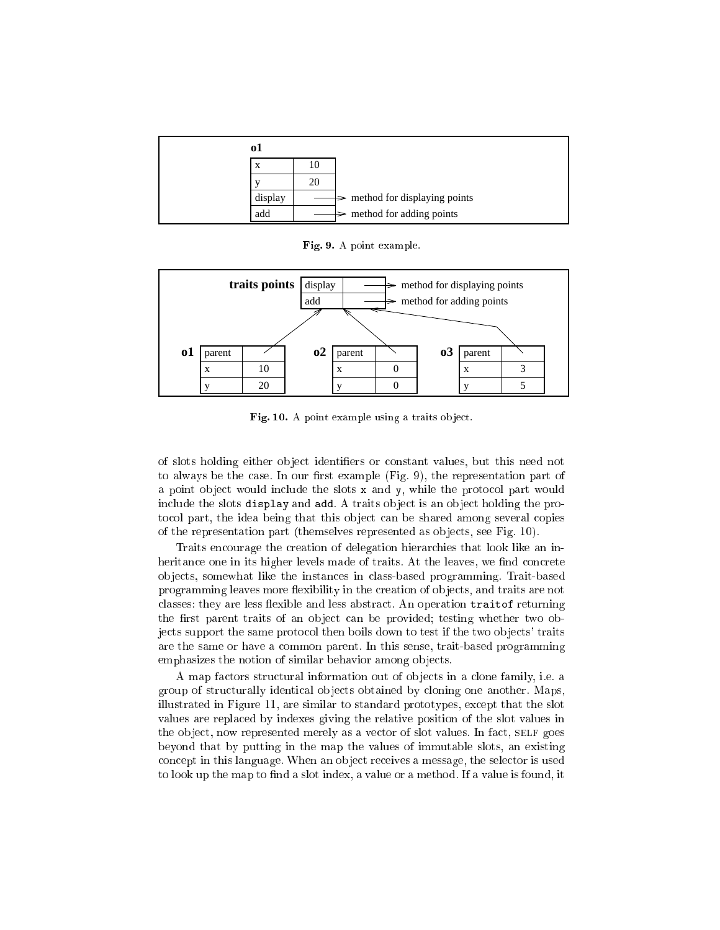| 01      |    |                                            |
|---------|----|--------------------------------------------|
| X       | ю  |                                            |
|         | 20 |                                            |
| display |    | $\Rightarrow$ method for displaying points |
| add     |    | $\Rightarrow$ method for adding points     |

Fig. 9. A point example.



Fig. 10. A point example using a traits object.

of slots holding either ob ject identiers or constant values, but this need not to always be the case. In our first example  $(Fig. 9)$ , the representation part of a point object would include the slots  $x$  and  $y$ , while the protocol part would include the slots display and add. A traits object is an object holding the protocol part, the idea being that this object can be shared among several copies of the representation part (themselves represented as ob jects, see Fig. 10).

Traits encourage the creation of delegation hierarchies that look like an inheritance one in its higher levels made of traits. At the leaves, we find concrete ob jects, somewhat like the instances in class-based programming. Trait-based programming leaves more flexibility in the creation of objects, and traits are not classes: they are less flexible and less abstract. An operation traitof returning the first parent traits of an object can be provided; testing whether two objects support the same protocol then boils down to test if the two ob jects' traits are the same or have a common parent. In this sense, trait-based programming emphasizes the notion of similar behavior among ob jects.

A map factors structural information out of ob jects in a clone family, i.e. a group of structurally identical objects obtained by cloning one another. Maps, illustrated in Figure 11, are similar to standard prototypes, except that the slot values are replaced by indexes giving the relative position of the slot values in the object, now represented merely as a vector of slot values. In fact, SELF goes beyond that by putting in the map the values of immutable slots, an existing concept in this language. When an object receives a message, the selector is used to look up the map to find a slot index, a value or a method. If a value is found, it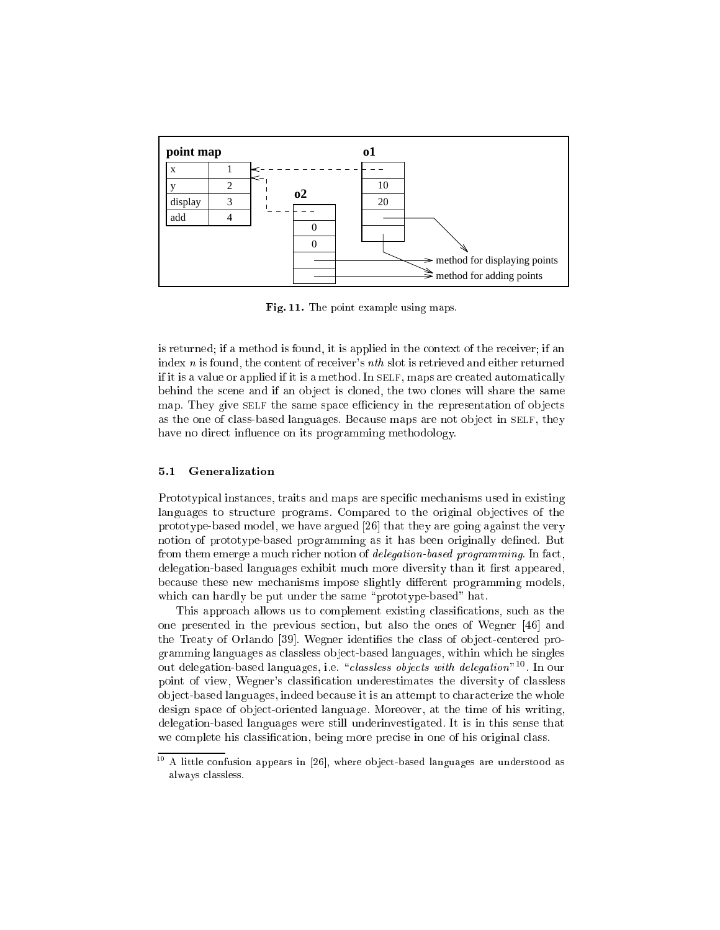

Fig. 11. The point example using maps.

is returned; if a method is found, it is applied in the context of the receiver; if an index  $n$  is found, the content of receiver's  $nth$  slot is retrieved and either returned if it is a value or applied if it is a method. In SELF, maps are created automatically behind the scene and if an ob ject is cloned, the two clones will share the same map. They give self the same space efficiency in the representation of objects as the one of class-based languages. Because maps are not object in SELF, they have no direct influence on its programming methodology.

### 5.1 Generalization

Prototypical instances, traits and maps are specific mechanisms used in existing languages to structure programs. Compared to the original objectives of the prototype-based model, we have argued [26] that they are going against the very notion of prototype-based programming as it has been originally defined. But from them emerge a much richer notion of *delegation-based programming*. In fact, delegation-based languages exhibit much more diversity than it first appeared, because these new mechanisms impose slightly different programming models, which can hardly be put under the same "prototype-based" hat.

This approach allows us to complement existing classifications, such as the one presented in the previous section, but also the ones of Wegner [46] and the Treaty of Orlando [39]. Wegner identifies the class of object-centered programming languages as classless ob ject-based languages, within which he singles out delegation-based languages, i.e. *classless objects with delegation* "11 In our point of view, Wegner's classication underestimates the diversity of classless ob ject-based languages, indeed because it is an attempt to characterize the whole design space of object-oriented language. Moreover, at the time of his writing, delegation-based languages were still underinvestigated. It is in this sense that we complete his classification, being more precise in one of his original class.

<sup>10</sup> A little confusion appears in [26], where ob ject-based languages are understood as always classless.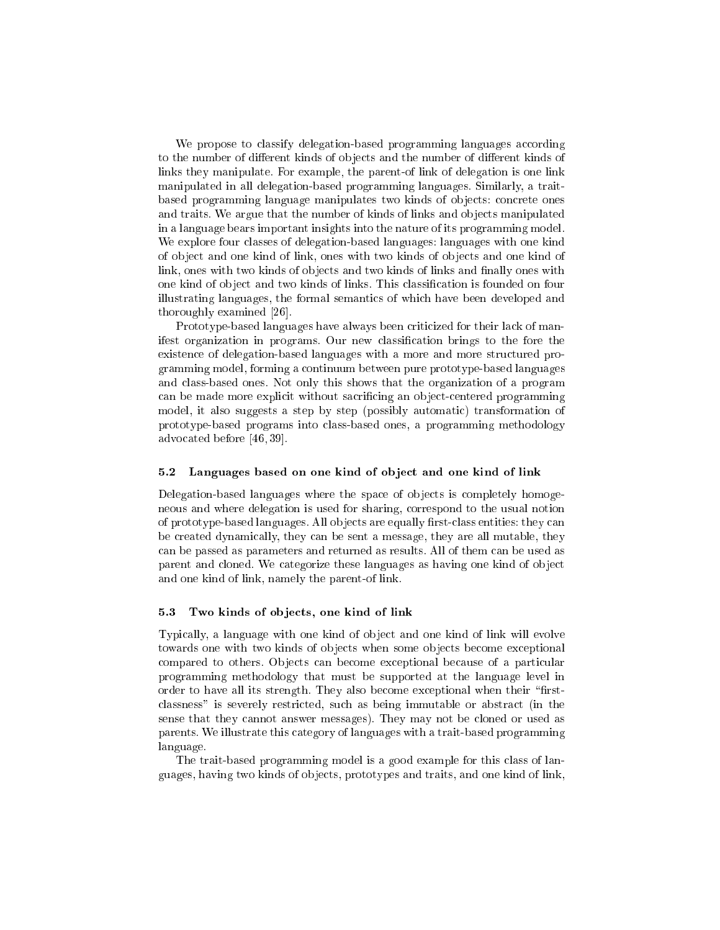We propose to classify delegation-based programming languages according to the number of different kinds of objects and the number of different kinds of links they manipulate. For example, the parent-of link of delegation is one link manipulated in all delegation-based programming languages. Similarly, a traitbased programming language manipulates two kinds of objects: concrete ones and traits. We argue that the number of kinds of links and objects manipulated in a language bears important insights into the nature of its programming model. We explore four classes of delegation-based languages: languages with one kind of ob ject and one kind of link, ones with two kinds of ob jects and one kind of link, ones with two kinds of objects and two kinds of links and finally ones with one kind of ob ject and two kinds of links. This classication is founded on four illustrating languages, the formal semantics of which have been developed and thoroughly examined [26].

Prototype-based languages have always been criticized for their lack of manifest organization in programs. Our new classication brings to the fore the existence of delegation-based languages with a more and more structured programming model, forming a continuum between pure prototype-based languages and class-based ones. Not only this shows that the organization of a program can be made more explicit without sacricing an ob ject-centered programming model, it also suggests a step by step (possibly automatic) transformation of prototype-based programs into class-based ones, a programming methodology advocated before [46, 39].

#### 5.2 Languages based on one kind of object and one kind of link

Delegation-based languages where the space of objects is completely homogeneous and where delegation is used for sharing, correspond to the usual notion of prototype-based languages. All objects are equally first-class entities: they can be created dynamically, they can be sent a message, they are all mutable, they can be passed as parameters and returned as results. All of them can be used as parent and cloned. We categorize these languages as having one kind of ob ject and one kind of link, namely the parent-of link.

#### 5.3 Two kinds of objects, one kind of link

Typically, a language with one kind of object and one kind of link will evolve towards one with two kinds of ob jects when some ob jects become exceptional compared to others. Objects can become exceptional because of a particular programming methodology that must be supported at the language level in order to have all its strength. They also become exceptional when their "firstclassness" is severely restricted, such as being immutable or abstract (in the sense that they cannot answer messages). They may not be cloned or used as parents. We illustrate this category of languages with a trait-based programming language.

The trait-based programming model is a good example for this class of languages, having two kinds of ob jects, prototypes and traits, and one kind of link,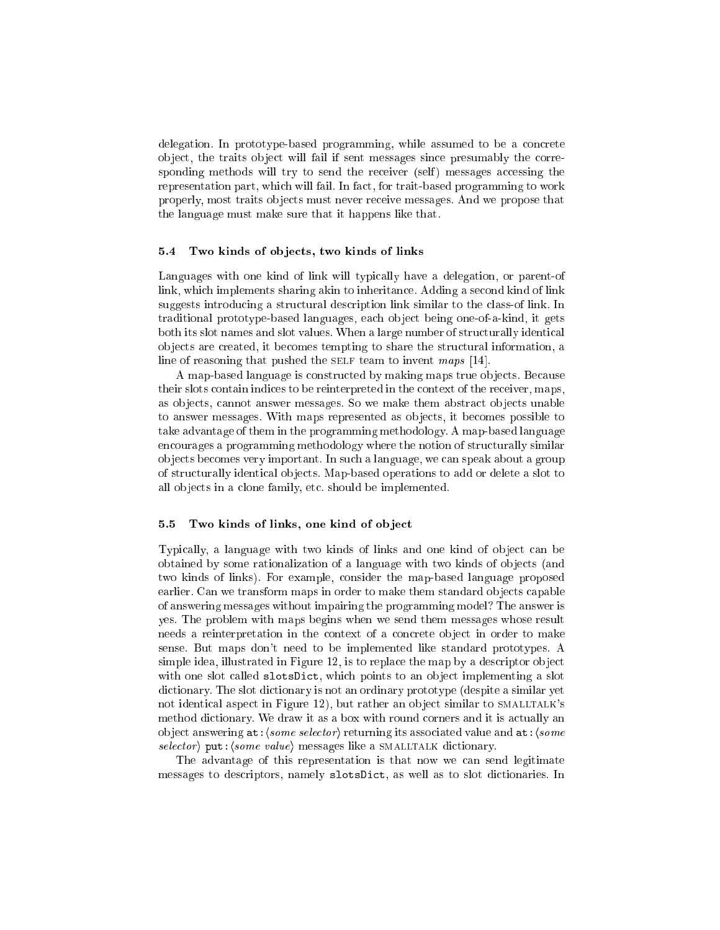delegation. In prototype-based programming, while assumed to be a concrete ob ject, the traits ob ject will fail if sent messages since presumably the corresponding methods will try to send the receiver (self) messages accessing the representation part, which will fail. In fact, for trait-based programming to work properly, most traits ob jects must never receive messages. And we propose that the language must make sure that it happens like that.

#### 5.4 Two kinds of objects, two kinds of links

Languages with one kind of link will typically have a delegation, or parent-of link, which implements sharing akin to inheritance. Adding a second kind of link suggests introducing a structural description link similar to the class-of link. In traditional prototype-based languages, each ob ject being one-of-a-kind, it gets both its slot names and slot values. When a large number of structurally identical ob jects are created, it becomes tempting to share the structural information, a line of reasoning that pushed the SELF team to invent maps  $[14]$ .

A map-based language is constructed by making maps true ob jects. Because their slots contain indices to be reinterpreted in the context of the receiver, maps, as ob jects, cannot answer messages. So we make them abstract ob jects unable to answer messages. With maps represented as ob jects, it becomes possible to take advantage of them in the programming methodology. A map-based language encourages a programming methodology where the notion of structurally similar ob jects becomes very important. In such a language, we can speak about a group of structurally identical ob jects. Map-based operations to add or delete a slot to all ob jects in a clone family, etc. should be implemented.

#### 5.5 Two kinds of links, one kind of object

Typically, a language with two kinds of links and one kind of object can be obtained by some rationalization of a language with two kinds of objects (and two kinds of links). For example, consider the map-based language proposed earlier. Can we transform maps in order to make them standard objects capable of answering messages without impairing the programming model? The answer is yes. The problem with maps begins when we send them messages whose result needs a reinterpretation in the context of a concrete object in order to make sense. But maps don't need to be implemented like standard prototypes. A simple idea, illustrated in Figure 12, is to replace the map by a descriptor ob ject with one slot called slotsDict, which points to an object implementing a slot dictionary. The slot dictionary is not an ordinary prototype (despite a similar yet not identical aspect in Figure 12), but rather an object similar to SMALLTALK's method dictionary. We draw it as a box with round corners and it is actually an object answering  $at:\langle some \ selector \rangle$  returning its associated value and  $at:\langle some$ selector) put:  $\langle some\ value\rangle$  messages like a smalltralk dictionary.

The advantage of this representation is that now we can send legitimate messages to descriptors, namely slotsDict, as well as to slot dictionaries. In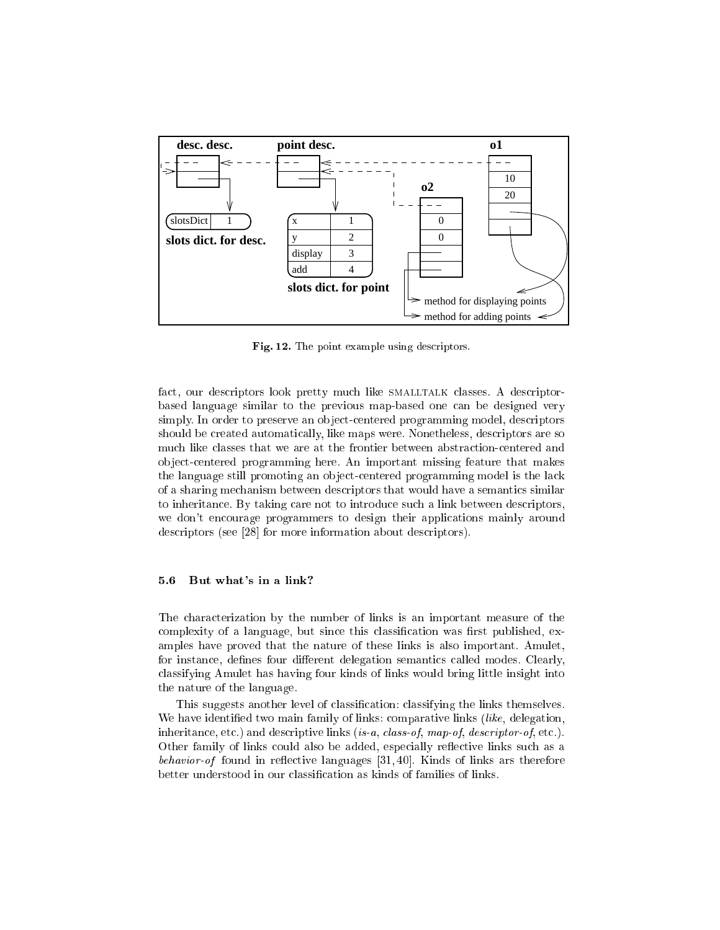

Fig. 12. The point example using descriptors.

fact, our descriptors look pretty much like SMALLTALK classes. A descriptorbased language similar to the previous map-based one can be designed very simply. In order to preserve an object-centered programming model, descriptors should be created automatically, like maps were. Nonetheless, descriptors are so much like classes that we are at the frontier between abstraction-centered and ob ject-centered programming here. An important missing feature that makes the language still promoting an ob ject-centered programming model is the lack of a sharing mechanism between descriptors that would have a semantics similar to inheritance. By taking care not to introduce such a link between descriptors, we don't encourage programmers to design their applications mainly around descriptors (see [28] for more information about descriptors).

### 5.6 But what's in a link?

The characterization by the number of links is an important measure of the complexity of a language, but since this classification was first published, examples have proved that the nature of these links is also important. Amulet, for instance, defines four different delegation semantics called modes. Clearly, classifying Amulet has having four kinds of links would bring little insight into the nature of the language.

This suggests another level of classification: classifying the links themselves. We have identified two main family of links: comparative links *(like, delegation,* inheritance, etc.) and descriptive links (is-a, class-of, map-of, descriptor-of, etc.). Other family of links could also be added, especially reflective links such as a behavior-of found in re
ective languages [31, 40]. Kinds of links ars therefore better understood in our classication as kinds of families of links.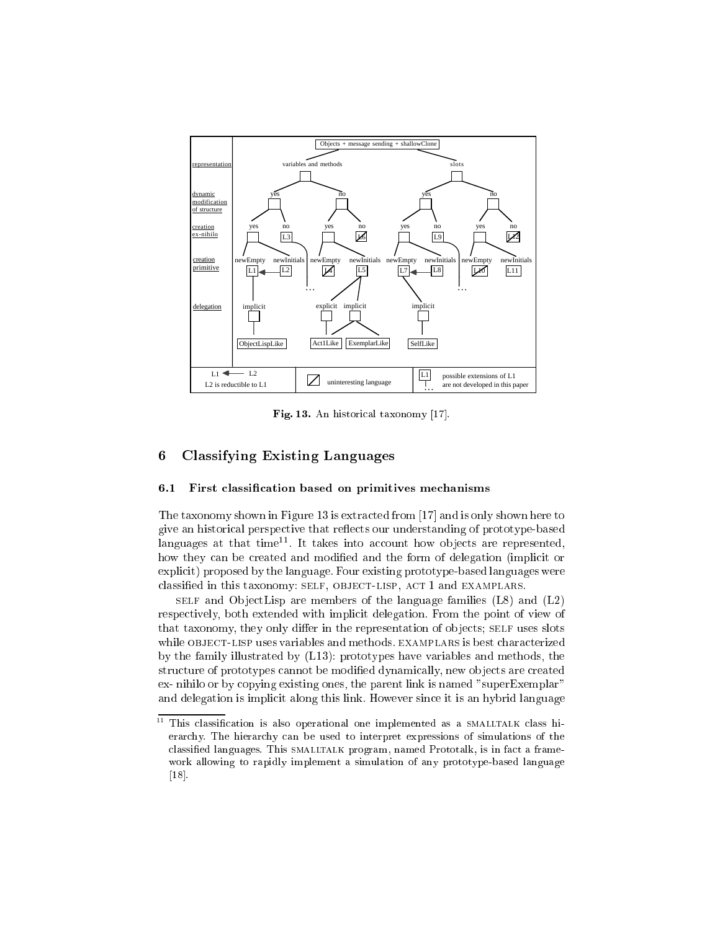

Fig. 13. An historical taxonomy [17].

#### Classifying Existing Languages 6

#### 6.1 First classication based on primitives mechanisms

The taxonomy shown in Figure 13 is extracted from [17] and is only shown here to give an historical perspective that reflects our understanding of prototype-based languages at that time<sup>11</sup>. It takes liito account how objects are represented, how they can be created and modified and the form of delegation (implicit or explicit) proposed by the language. Four existing prototype-based languages were classied in this taxonomy: self, object-lisp, act 1 and examplars.

self and  $\sigma$  objecting are members of the members  $\sigma$  families (L8) and (L2) respectively, both extended with implicit delegation. From the point of view of that taxonomy, they only differ in the representation of objects; SELF uses slots while OBJECT-LISP uses variables and methods. EXAMPLARS is best characterized by the family illustrated by (L13): prototypes have variables and methods, the structure of prototypes cannot be modified dynamically, new objects are created ex- nihilo or by copying existing ones, the parent link is named "superExemplar" and delegation is implicit along this link. However since it is an hybrid language

<sup>11</sup> This classification is also operational one implemented as a SMALLTALK class hierarchy. The hierarchy can be used to interpret expressions of simulations of the classied languages. This smalltalk program, named Prototalk, is in fact a framework allowing to rapidly implement a simulation of any prototype-based language [18].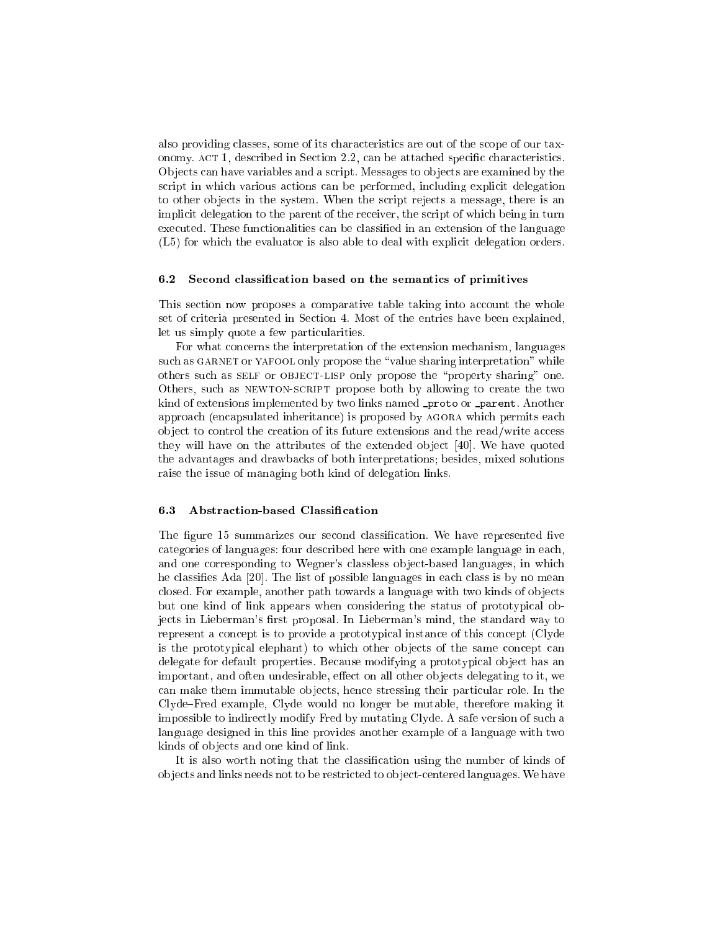also providing classes, some of its characteristics are out of the scope of our taxonomy. ACT 1, described in Section 2.2, can be attached specific characteristics. Ob jects can have variables and a script. Messages to ob jects are examined by the script in which various actions can be performed, including explicit delegation to other objects in the system. When the script rejects a message, there is an implicit delegation to the parent of the receiver, the script of which being in turn executed. These functionalities can be classied in an extension of the language (L5) for which the evaluator is also able to deal with explicit delegation orders.

#### 6.2 Second classication based on the semantics of primitives

This section now proposes a comparative table taking into account the whole set of criteria presented in Section 4. Most of the entries have been explained, let us simply quote a few particularities.

For what concerns the interpretation of the extension mechanism, languages such as GARNET or YAFOOL only propose the "value sharing interpretation" while others such as SELF or OBJECT-LISP only propose the "property sharing" one. Others, such as newton-script propose both by allowing to create the two kind of extensions implemented by two links named **proto or parent**. Another approach (encapsulated inheritance) is proposed by agora which permits each ob ject to control the creation of its future extensions and the read/write access they will have on the attributes of the extended object [40]. We have quoted the advantages and drawbacks of both interpretations; besides, mixed solutions raise the issue of managing both kind of delegation links.

### 6.3 Abstraction-based Classication

The figure 15 summarizes our second classification. We have represented five categories of languages: four described here with one example language in each, and one corresponding to Wegner's classless ob ject-based languages, in which he classies Ada [20]. The list of possible languages in each class is by no mean closed. For example, another path towards a language with two kinds of ob jects but one kind of link appears when considering the status of prototypical objects in Lieberman's first proposal. In Lieberman's mind, the standard way to represent a concept is to provide a prototypical instance of this concept (Clyde is the prototypical elephant) to which other objects of the same concept can delegate for default properties. Because modifying a prototypical object has an important, and often undesirable, effect on all other objects delegating to it, we can make them immutable ob jects, hence stressing their particular role. In the Clyde-Fred example, Clyde would no longer be mutable, therefore making it impossible to indirectly modify Fred by mutating Clyde. A safe version of such a language designed in this line provides another example of a language with two kinds of ob jects and one kind of link.

It is also worth noting that the classication using the number of kinds of ob jects and links needs not to be restricted to ob ject-centered languages. We have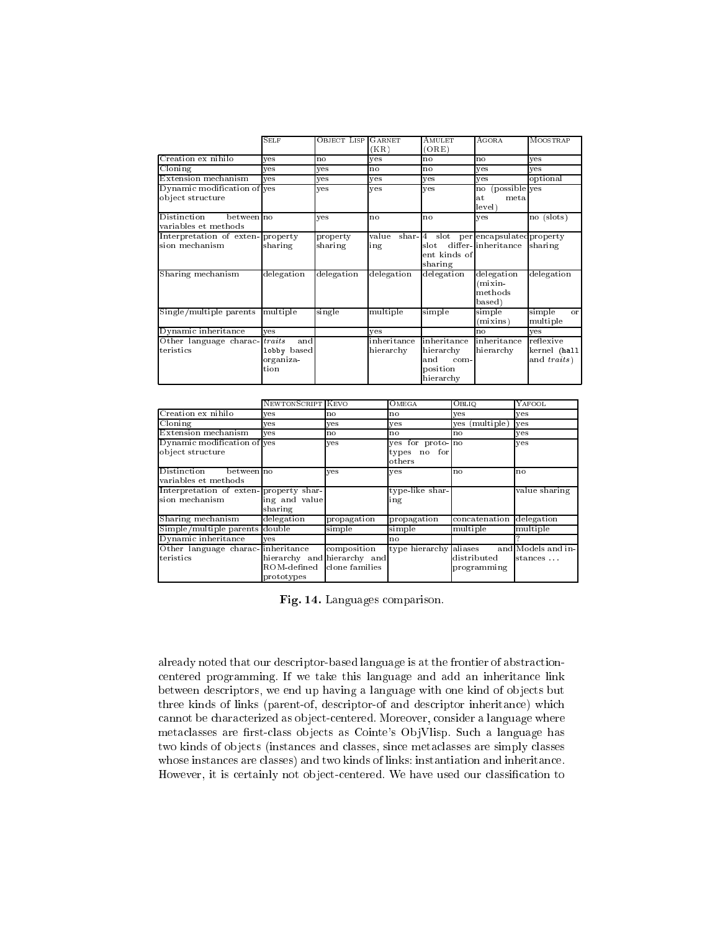|                                                    | Sel f            | OBJECT LISP GARNET  | (KR)         | <b>AMULET</b><br>(ORE)                                                   | AGORA                                         | MOOSTRAP                         |
|----------------------------------------------------|------------------|---------------------|--------------|--------------------------------------------------------------------------|-----------------------------------------------|----------------------------------|
| Creation ex nihilo                                 | ves              | no                  | ves          | no                                                                       | no                                            | ves                              |
| Cloning                                            | ves              | ves                 | no           | no                                                                       | ves                                           | ves                              |
| Extension mechanism                                | ves              | ves                 | yes          | yes                                                                      | yes                                           | optional                         |
| Dynamic modification of yes<br>object structure    |                  | ves                 | ves          | yes                                                                      | (possible yes<br>no<br>metal<br>at.<br>level) |                                  |
| Distinction<br>betweenIno<br>variables et methods  |                  | ves                 | no           | no                                                                       | yes                                           | no (slots)                       |
| Interpretation of exten-property<br>sion mechanism | sharing          | property<br>sharing | value<br>ing | shar 4 slot per encapsulated property<br>slot<br>ent kinds of<br>sharing | differ-linheritance                           | sharing                          |
| Sharing mechanism                                  | delegation       | delegation          | delegation   | delegation                                                               | delegation<br>$(mixin -$<br>methods<br>based) | delegation                       |
| Single/multiple parents multiple                   |                  | single              | multiple     | simple                                                                   | simple<br>(mixins)                            | simple<br>$\alpha$ r<br>multiple |
| Dynamic inheritance                                | ves              |                     | ves          |                                                                          | no                                            | yes                              |
| Other language charac- traits                      | and              |                     | inheritance  | inheritance                                                              | inheritance                                   | reflexive                        |
| teristics                                          | lobby based      |                     | hierarchy    | hierarchy                                                                | hierarchy                                     | kernel (hall                     |
|                                                    | organiza<br>tion |                     |              | and<br>com-<br>position<br>hierarchy                                     |                                               | and traits)                      |

|                                                          | NEWTONSCRIPT KEVO                                        |                               | OMEGA                                      | OBLIQ                      | YAFOOL                        |
|----------------------------------------------------------|----------------------------------------------------------|-------------------------------|--------------------------------------------|----------------------------|-------------------------------|
| Creation ex nihilo                                       | ves                                                      | no                            | n o                                        | ves                        | ves                           |
| Cloning                                                  | ves                                                      | yes                           | ves                                        | ves (multiple)             | yes                           |
| Extension mechanism                                      | ves                                                      | no                            | n o                                        | no                         | yes                           |
| Dynamic modification of yes<br>object structure          |                                                          | yes                           | yes for proto no<br>types no for<br>others |                            | ves                           |
| Distinction<br>betweenIno<br>variables et methods        |                                                          | ves                           | ves                                        | n <sub>o</sub>             | <b>no</b>                     |
| Interpretation of exten-property shar-<br>sion mechanism | ing and value<br>sharing                                 |                               | type like shar-<br>ing                     |                            | value sharing                 |
| Sharing mechanism                                        | delegation                                               | propagation                   | propagation                                | concatenation              | delegation                    |
| Simple/multiple parents double                           |                                                          | simple                        | simple                                     | multiple                   | multiple                      |
| Dynamic inheritance                                      | ves                                                      |                               | no                                         |                            |                               |
| Other language charac inheritance<br>teristics           | hierarchy and hierarchy and<br>ROM-defined<br>prototypes | composition<br>clone families | type hierarchy aliases                     | distributed<br>programming | and Models and in-<br>stances |

Fig. 14. Languages comparison.

already noted that our descriptor-based language is at the frontier of abstractioncentered programming. If we take this language and add an inheritance link between descriptors, we end up having a language with one kind of objects but three kinds of links (parent-of, descriptor-of and descriptor inheritance) which cannot be characterized as object-centered. Moreover, consider a language where metaclasses are first-class objects as Cointe's ObjVlisp. Such a language has two kinds of objects (instances and classes, since metaclasses are simply classes whose instances are classes) and two kinds of links: instantiation and inheritance. However, it is certainly not object-centered. We have used our classification to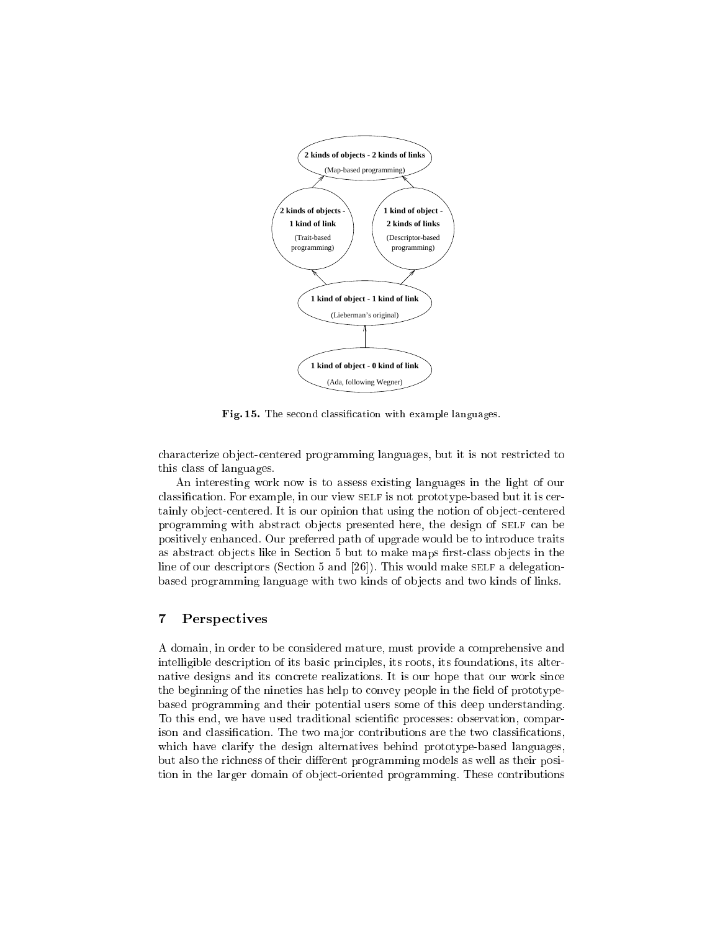

Fig. 15. The second classication with example languages.

characterize ob ject-centered programming languages, but it is not restricted to this class of languages.

An interesting work now is to assess existing languages in the light of our classification. For example, in our view SELF is not prototype-based but it is certainly object-centered. It is our opinion that using the notion of object-centered programming with abstract ob jects presented here, the design of self can be positively enhanced. Our preferred path of upgrade would be to introduce traits as abstract objects like in Section 5 but to make maps first-class objects in the line of our descriptors (Section 5 and  $[26]$ ). This would make self a delegationbased programming language with two kinds of objects and two kinds of links.

#### 7Perspectives

A domain, in order to be considered mature, must provide a comprehensive and intelligible description of its basic principles, its roots, its foundations, its alternative designs and its concrete realizations. It is our hope that our work since the beginning of the nineties has help to convey people in the field of prototypebased programming and their potential users some of this deep understanding. To this end, we have used traditional scientic processes: observation, comparison and classification. The two major contributions are the two classifications, which have clarify the design alternatives behind prototype-based languages, but also the richness of their different programming models as well as their position in the larger domain of ob ject-oriented programming. These contributions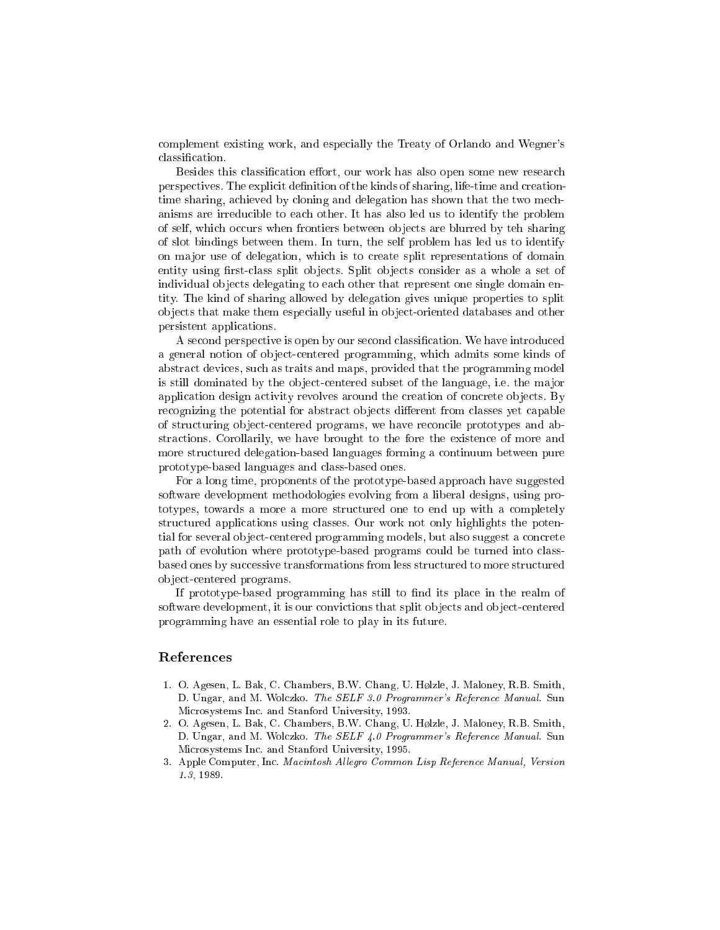complement existing work, and especially the Treaty of Orlando and Wegner's classication.

Besides this classification effort, our work has also open some new research perspectives. The explicit definition of the kinds of sharing, life-time and creationtime sharing, achieved by cloning and delegation has shown that the two mechanisms are irreducible to each other. It has also led us to identify the problem of self, which occurs when frontiers between ob jects are blurred by teh sharing of slot bindings between them. In turn, the self problem has led us to identify on ma jor use of delegation, which is to create split representations of domain entity using first-class split objects. Split objects consider as a whole a set of individual objects delegating to each other that represent one single domain entity. The kind of sharing allowed by delegation gives unique properties to split ob jects that make them especially useful in ob ject-oriented databases and other persistent applications.

A second perspective is open by our second classication. We have introduced a general notion of object-centered programming, which admits some kinds of abstract devices, such as traits and maps, provided that the programming model is still dominated by the object-centered subset of the language, i.e. the major application design activity revolves around the creation of concrete objects. By recognizing the potential for abstract objects different from classes yet capable of structuring ob ject-centered programs, we have reconcile prototypes and abstractions. Corollarily, we have brought to the fore the existence of more and more structured delegation-based languages forming a continuum between pure prototype-based languages and class-based ones.

For a long time, proponents of the prototype-based approach have suggested software development methodologies evolving from a liberal designs, using prototypes, towards a more a more structured one to end up with a completely structured applications using classes. Our work not only highlights the potential for several object-centered programming models, but also suggest a concrete path of evolution where prototype-based programs could be turned into classbased ones by successive transformations from less structured to more structured ob ject-centered programs.

If prototype-based programming has still to find its place in the realm of software development, it is our convictions that split objects and object-centered programming have an essential role to play in its future.

## References

- 1. O. Agesen, L. Bak, C. Chambers, B.W. Chang, U. Hølzle, J. Maloney, R.B. Smith, D. Ungar, and M. Wolczko. The SELF 3.0 Programmer's Reference Manual. Sun Microsystems Inc. and Stanford University, 1993.
- 2. O. Agesen, L. Bak, C. Chambers, B.W. Chang, U. Hølzle, J. Maloney, R.B. Smith, D. Ungar, and M. Wolczko. The SELF 4.0 Programmer's Reference Manual. Sun Microsystems Inc. and Stanford University, 1995.
- 3. Apple Computer, Inc. Macintosh Allegro Common Lisp Reference Manual, Version 1.3, 1989.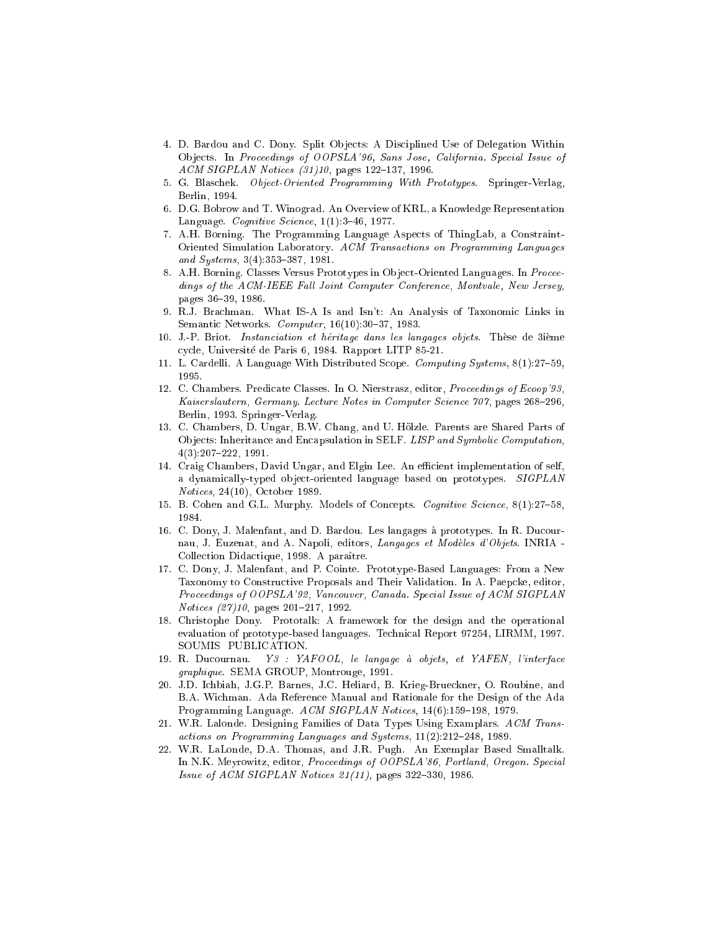- 4. D. Bardou and C. Dony. Split Ob jects: A Disciplined Use of Delegation Within Ob jects. In Proceedings of OOPSLA'96, Sans Jose, California. Special Issue of  $ACM$  SIGPLAN Notices  $(31)10$ , pages 122-137, 1996.
- 5. G. Blaschek. Object-Oriented Programming With Prototypes. Springer-Verlag, Berlin, 1994.
- 6. D.G. Bobrow and T. Winograd. An Overview of KRL, a Knowledge Representation Language. Cognitive Science,  $1(1):3-46$ , 1977.
- 7. A.H. Borning. The Programming Language Aspects of ThingLab, a Constraint-Oriented Simulation Laboratory. ACM Transactions on Programming Languages and Systems,  $3(4):353-387$ , 1981.
- 8. A.H. Borning. Classes Versus Prototypes in Object-Oriented Languages. In Proceedings of the ACM-IEEE Fall Joint Computer Conference, Montvale, New Jersey, pages 36-39, 1986.
- 9. R.J. Brachman. What IS-A Is and Isn't: An Analysis of Taxonomic Links in Semantic Networks.  $Computer, 16(10):30-37, 1983.$
- 10. J.-P. Briot. Instanciation et heritage dans les langages objets. These de 3ieme cycle, Universite de Paris 6, 1984. Rapport LITP 85-21.
- 11. L. Cardelli. A Language With Distributed Scope. Computing Systems, 8(1):27-59, 1995.
- 12. C. Chambers. Predicate Classes. In O. Nierstrasz, editor, Proceedings of Ecoop'93, Kaiserslautern, Germany. Lecture Notes in Computer Science 707, pages 268-296, Berlin, 1993. Springer-Verlag.
- 13. C. Chambers, D. Ungar, B.W. Chang, and U. Holzle. Parents are Shared Parts of Ob jects: Inheritance and Encapsulation in SELF. LISP and Symbolic Computation,  $4(3):207-222, 1991.$
- 14. Craig Chambers, David Ungar, and Elgin Lee. An efficient implementation of self, a dynamically-typed object-oriented language based on prototypes. SIGPLAN Notices, 24(10), October 1989.
- 15. B. Cohen and G.L. Murphy. Models of Concepts. Cognitive Science, 8(1):27-58, 1984.
- 16. C. Dony, J. Malenfant, and D. Bardou. Les langages a prototypes. In R. Ducournau, J. Euzenat, and A. Napoli, editors, Langages et Modeles d'Objets. INRIA - Collection Didactique, 1998. A para^tre.
- 17. C. Dony, J. Malenfant, and P. Cointe. Prototype-Based Languages: From a New Taxonomy to Constructive Proposals and Their Validation. In A. Paepcke, editor, Proceedings of OOPSLA'92, Vancouver, Canada. Special Issue of ACM SIGPLAN  $Notices$   $(27)10$ , pages  $201-217$ , 1992.
- 18. Christophe Dony. Prototalk: A framework for the design and the operational evaluation of prototype-based languages. Technical Report 97254, LIRMM, 1997. SOUMIS PUBLICATION.
- 19. R. Ducournau. Y3 : YAFOOL, le langage a objets, et YAFEN, l'interface graphique. SEMA GROUP, Montrouge, 1991.
- 20. J.D. Ichbiah, J.G.P. Barnes, J.C. Heliard, B. Krieg-Brueckner, O. Roubine, and B.A. Wichman. Ada Reference Manual and Rationale for the Design of the Ada Programming Language. ACM SIGPLAN Notices, 14(6):159-198, 1979.
- 21. W.R. Lalonde. Designing Families of Data Types Using Examplars. ACM Transactions on Programming Languages and Systems,  $11(2):212-248$ , 1989.
- 22. W.R. LaLonde, D.A. Thomas, and J.R. Pugh. An Exemplar Based Smalltalk. In N.K. Meyrowitz, editor, Proceedings of OOPSLA'86, Portland, Oregon. Special Issue of ACM SIGPLAN Notices  $21(11)$ , pages 322-330, 1986.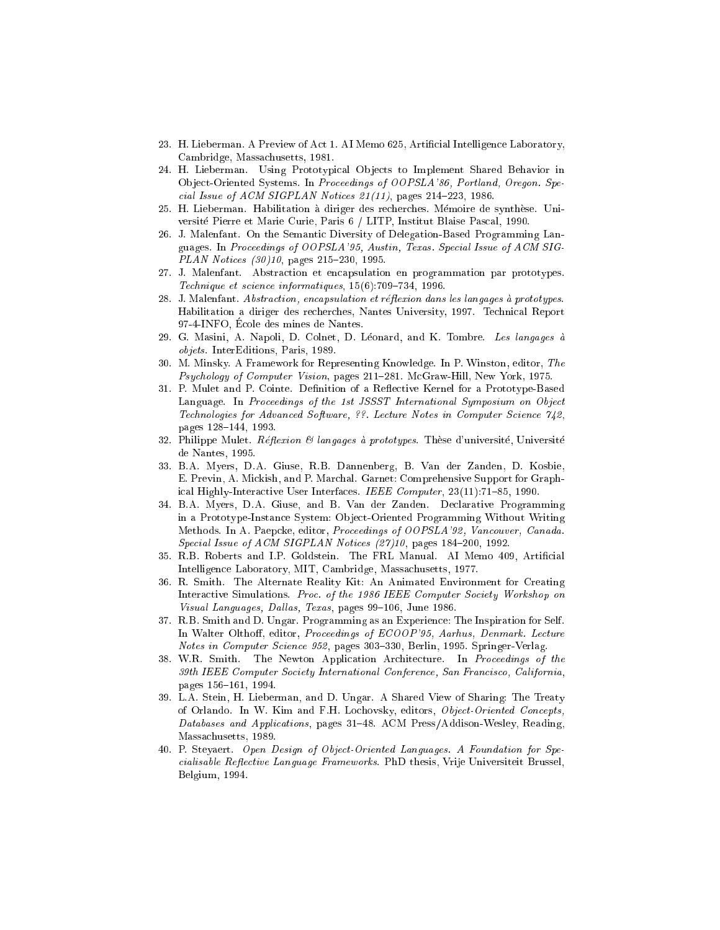- 23. H. Lieberman. A Preview of Act 1. AI Memo 625, Articial Intelligence Laboratory, Cambridge, Massachusetts, 1981.
- 24. H. Lieberman. Using Prototypical Objects to Implement Shared Behavior in Ob ject-Oriented Systems. In Proceedings of OOPSLA'86, Portland, Oregon. Special Issue of ACM SIGPLAN Notices  $21(11)$ , pages  $214-223$ , 1986.
- 25. H. Lieberman. Habilitation a diriger des recherches. Memoire de synthese. Universite Pierre et Marie Curie, Paris 6 / LITP, Institut Blaise Pascal, 1990.
- 26. J. Malenfant. On the Semantic Diversity of Delegation-Based Programming Languages. In Proceedings of OOPSLA'95, Austin, Texas. Special Issue of ACM SIG- $PLAN$  Notices  $(30)10$ , pages  $215-230$ , 1995.
- 27. J. Malenfant. Abstraction et encapsulation en programmation par prototypes. Technique et science informatiques,  $15(6)$ :709-734, 1996.
- 28. J. Malenfant. Abstraction, encapsulation et réflexion dans les langages à prototypes. Habilitation a diriger des recherches, Nantes University, 1997. Technical Report 97-4-INFO, Ecole des mines de Nantes.
- 29. G. Masini, A. Napoli, D. Colnet, D. Léonard, and K. Tombre. Les langages à objets. InterEditions, Paris, 1989.
- 30. M. Minsky. A Framework for Representing Knowledge. In P. Winston, editor, The Psychology of Computer Vision, pages 211-281. McGraw-Hill, New York, 1975.
- 31. P. Mulet and P. Cointe. Definition of a Reflective Kernel for a Prototype-Based Language. In Proceedings of the 1st JSSST International Symposium on Object Technologies for Advanced Software, ??. Lecture Notes in Computer Science 742, pages 128-144, 1993.
- 32. Philippe Mulet. Réflexion & langages à prototypes. Thèse d'université, Université de Nantes, 1995.
- 33. B.A. Myers, D.A. Giuse, R.B. Dannenberg, B. Van der Zanden, D. Kosbie, E. Previn, A. Mickish, and P. Marchal. Garnet: Comprehensive Support for Graphical Highly-Interactive User Interfaces. IEEE Computer,  $23(11):71{-}85$ , 1990.
- 34. B.A. Myers, D.A. Giuse, and B. Van der Zanden. Declarative Programming in a Prototype-Instance System: Ob ject-Oriented Programming Without Writing Methods. In A. Paepcke, editor, Proceedings of OOPSLA'92, Vancouver, Canada. Special Issue of ACM SIGPLAN Notices  $(27)10$ , pages 184-200, 1992.
- 35. R.B. Roberts and I.P. Goldstein. The FRL Manual. AI Memo 409, Articial Intelligence Laboratory, MIT, Cambridge, Massachusetts, 1977.
- 36. R. Smith. The Alternate Reality Kit: An Animated Environment for Creating Interactive Simulations. Proc. of the 1986 IEEE Computer Society Workshop on Visual Languages, Dallas, Texas, pages 99-106, June 1986.
- 37. R.B. Smith and D. Ungar. Programming as an Experience: The Inspiration for Self. In Walter Olthoff, editor, Proceedings of ECOOP'95, Aarhus, Denmark. Lecture Notes in Computer Science 952, pages 303-330, Berlin, 1995. Springer-Verlag.
- 38. W.R. Smith. The Newton Application Architecture. In Proceedings of the 39th IEEE Computer Society International Conference, San Francisco, California, pages 156-161, 1994.
- 39. L.A. Stein, H. Lieberman, and D. Ungar. A Shared View of Sharing: The Treaty of Orlando. In W. Kim and F.H. Lochovsky, editors, Object-Oriented Concepts, Databases and Applications, pages 31-48. ACM Press/Addison-Wesley, Reading, Massachusetts, 1989.
- 40. P. Steyaert. Open Design of Object-Oriented Languages. A Foundation for Specialisable Reflective Language Frameworks. PhD thesis, Vrije Universiteit Brussel, Belgium, 1994.